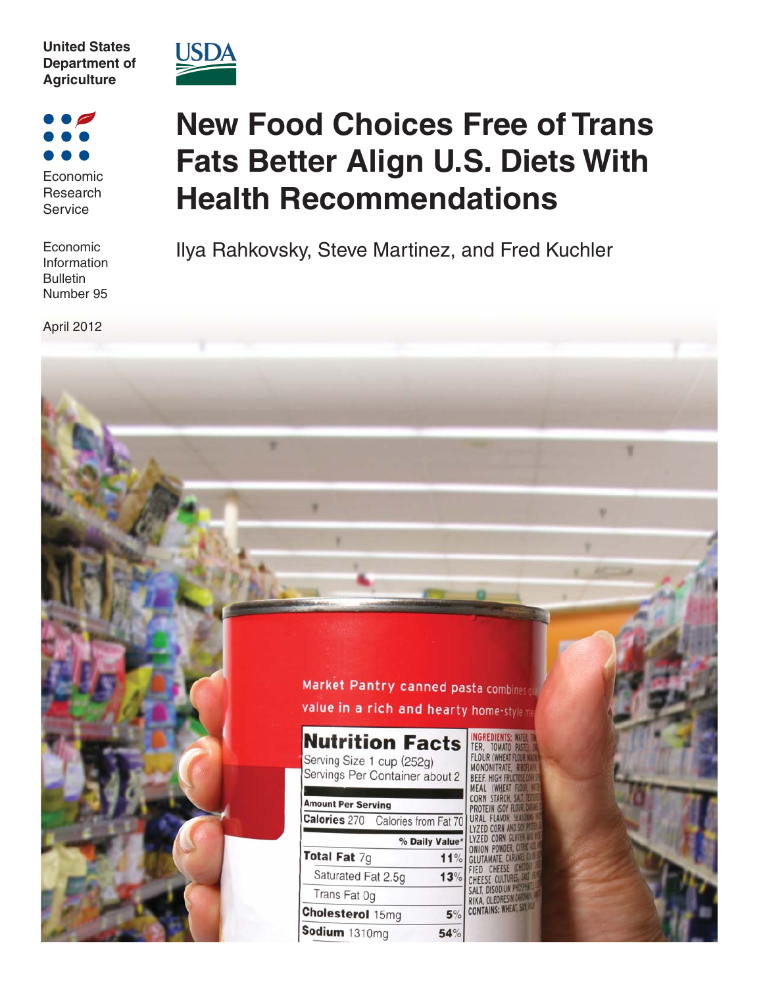



Economic Research Service

Economic Information Bulletin Number 95

April 2012

# **New Food Choices Free of Trans Fats Better Align U.S. Diets With Health Recommendations**

Ilya Rahkovsky, Steve Martinez, and Fred Kuchler

Market Pantry canned pasta combines o value in a rich and hearty home-stylen

| <b>Nutrition Facts</b><br>Serving Size 1 cup (252g)<br>Servings Per Container about 2 |                |
|---------------------------------------------------------------------------------------|----------------|
|                                                                                       |                |
| <b>Amount Per Serving</b>                                                             |                |
| Calories 270 Calories from Fat 70                                                     |                |
|                                                                                       | % Daily Value* |
| Total Fat $7g$                                                                        | 11%            |
| Saturated Fat 2.5g                                                                    | 13%            |
| Trans Fat 0g                                                                          |                |
| <b>Cholesterol</b> 15mg                                                               | 5%             |
| Sodium 1310ma                                                                         |                |

TER, TOMATO **LOUR (WHEAT MONONITRATE** BEEF. HIGH FR **AFAL IWHEA** CORN STARCH IRAI FIAVOI Y7ED **ONTAINS: WHEAT,**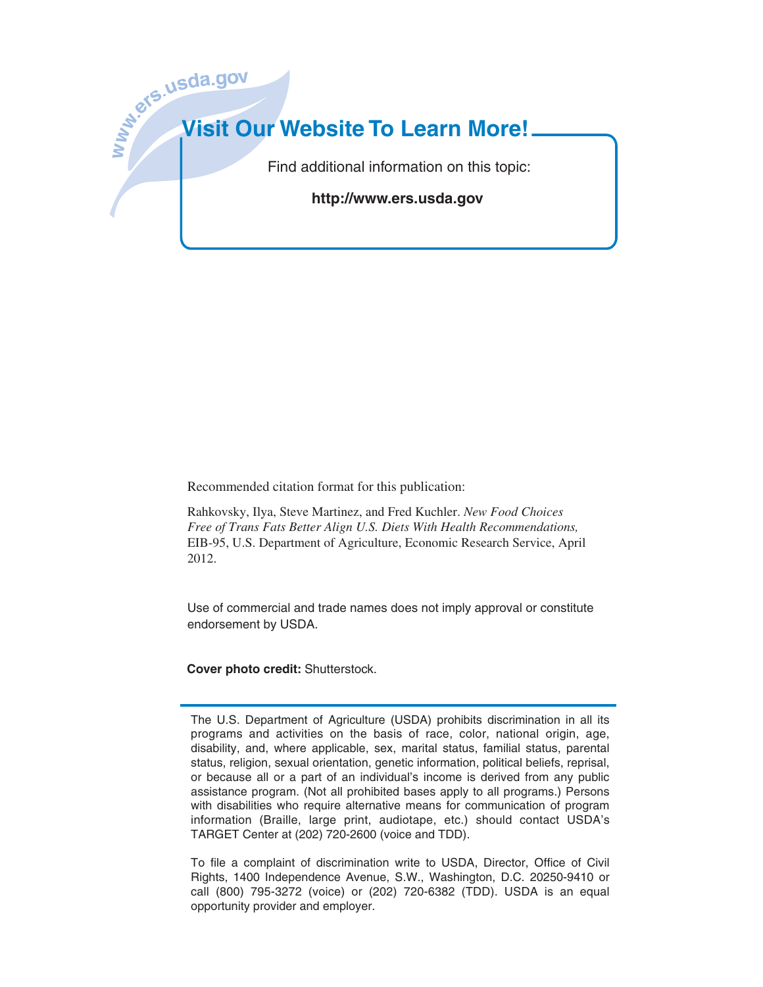

Recommended citation format for this publication:

Rahkovsky, Ilya, Steve Martinez, and Fred Kuchler. *New Food Choices Free of Trans Fats Better Align U.S. Diets With Health Recommendations,* EIB-95, U.S. Department of Agriculture, Economic Research Service, April 2012.

Use of commercial and trade names does not imply approval or constitute endorsement by USDA.

**Cover photo credit:** Shutterstock.

The U.S. Department of Agriculture (USDA) prohibits discrimination in all its programs and activities on the basis of race, color, national origin, age, disability, and, where applicable, sex, marital status, familial status, parental status, religion, sexual orientation, genetic information, political beliefs, reprisal, or because all or a part of an individual's income is derived from any public assistance program. (Not all prohibited bases apply to all programs.) Persons with disabilities who require alternative means for communication of program information (Braille, large print, audiotape, etc.) should contact USDA's TARGET Center at (202) 720-2600 (voice and TDD).

To file a complaint of discrimination write to USDA, Director, Office of Civil Rights, 1400 Independence Avenue, S.W., Washington, D.C. 20250-9410 or call (800) 795-3272 (voice) or (202) 720-6382 (TDD). USDA is an equal opportunity provider and employer.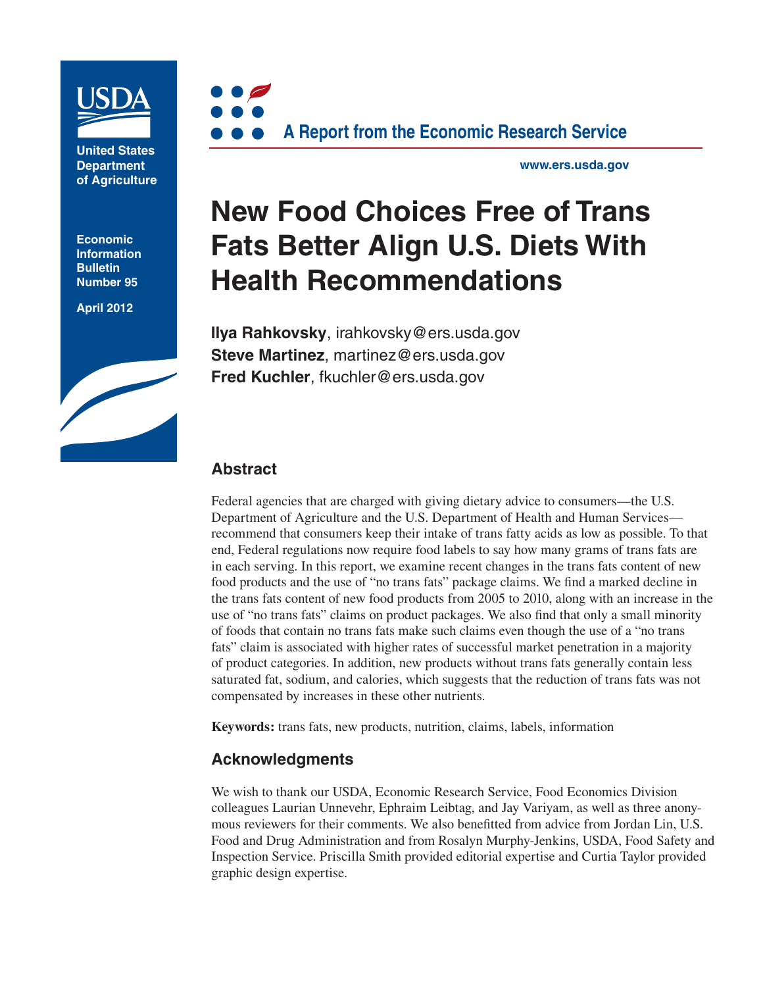

**United States Department of Agriculture**

**Economic Information Bulletin Number 95**

**April 2012**





**www.ers.usda.gov**

# **New Food Choices Free of Trans Fats Better Align U.S. Diets With Health Recommendations**

**Ilya Rahkovsky**, irahkovsky@ers.usda.gov **Steve Martinez**, martinez@ers.usda.gov **Fred Kuchler**, fkuchler@ers.usda.gov

### **Abstract**

Federal agencies that are charged with giving dietary advice to consumers—the U.S. Department of Agriculture and the U.S. Department of Health and Human Services recommend that consumers keep their intake of trans fatty acids as low as possible. To that end, Federal regulations now require food labels to say how many grams of trans fats are in each serving. In this report, we examine recent changes in the trans fats content of new food products and the use of "no trans fats" package claims. We find a marked decline in the trans fats content of new food products from 2005 to 2010, along with an increase in the use of "no trans fats" claims on product packages. We also find that only a small minority of foods that contain no trans fats make such claims even though the use of a "no trans fats" claim is associated with higher rates of successful market penetration in a majority of product categories. In addition, new products without trans fats generally contain less saturated fat, sodium, and calories, which suggests that the reduction of trans fats was not compensated by increases in these other nutrients.

**Keywords:** trans fats, new products, nutrition, claims, labels, information

### **Acknowledgments**

We wish to thank our USDA, Economic Research Service, Food Economics Division colleagues Laurian Unnevehr, Ephraim Leibtag, and Jay Variyam, as well as three anonymous reviewers for their comments. We also benefitted from advice from Jordan Lin, U.S. Food and Drug Administration and from Rosalyn Murphy-Jenkins, USDA, Food Safety and Inspection Service. Priscilla Smith provided editorial expertise and Curtia Taylor provided graphic design expertise.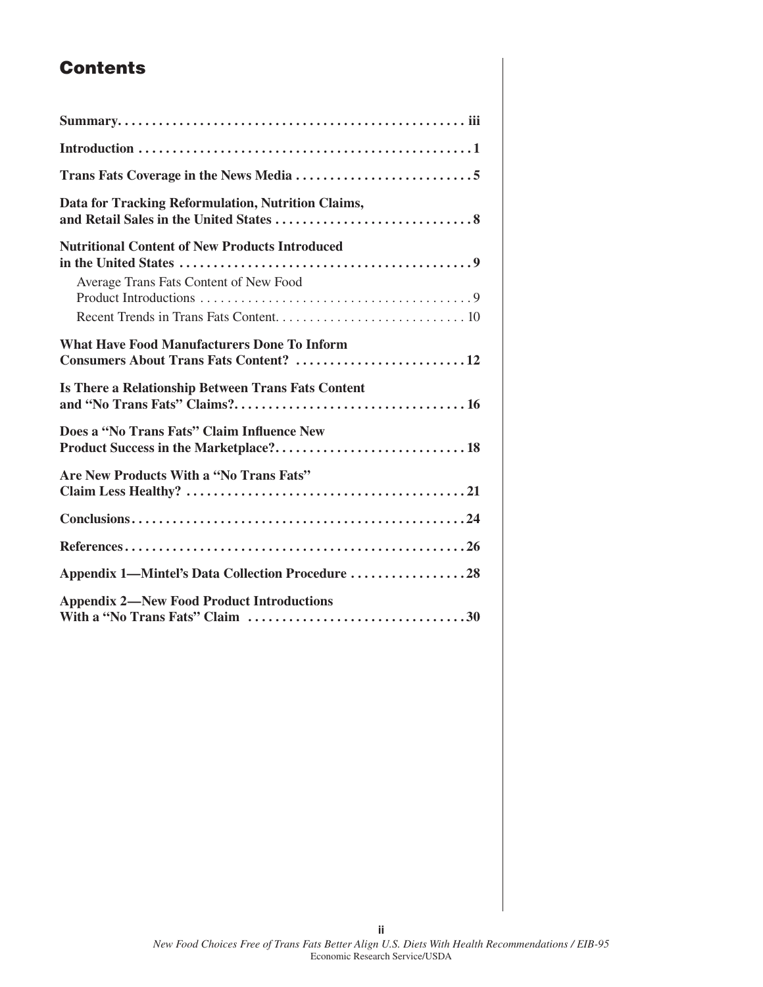# **Contents**

| Data for Tracking Reformulation, Nutrition Claims,                                              |
|-------------------------------------------------------------------------------------------------|
| <b>Nutritional Content of New Products Introduced</b><br>Average Trans Fats Content of New Food |
|                                                                                                 |
| <b>What Have Food Manufacturers Done To Inform</b><br>Consumers About Trans Fats Content? 12    |
| Is There a Relationship Between Trans Fats Content                                              |
|                                                                                                 |
| Does a "No Trans Fats" Claim Influence New                                                      |
| Are New Products With a "No Trans Fats"                                                         |
|                                                                                                 |
|                                                                                                 |
| Appendix 1-Mintel's Data Collection Procedure 28                                                |

**ii**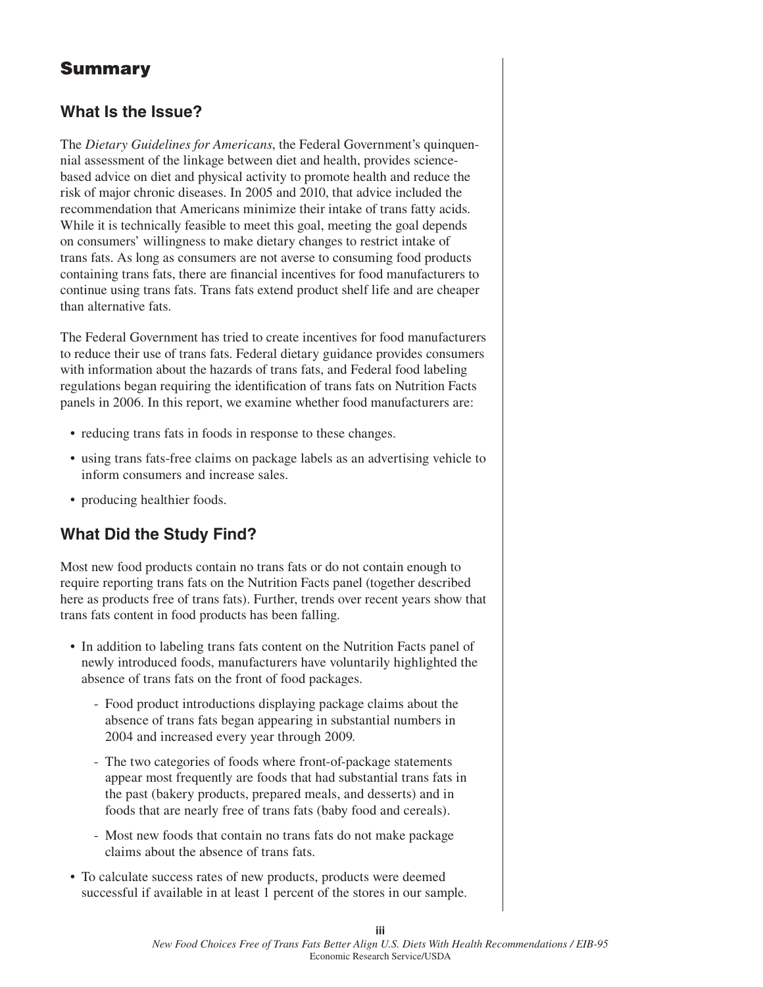# **Summary**

### **What Is the Issue?**

The *Dietary Guidelines for Americans*, the Federal Government's quinquennial assessment of the linkage between diet and health, provides sciencebased advice on diet and physical activity to promote health and reduce the risk of major chronic diseases. In 2005 and 2010, that advice included the recommendation that Americans minimize their intake of trans fatty acids. While it is technically feasible to meet this goal, meeting the goal depends on consumers' willingness to make dietary changes to restrict intake of trans fats. As long as consumers are not averse to consuming food products containing trans fats, there are financial incentives for food manufacturers to continue using trans fats. Trans fats extend product shelf life and are cheaper than alternative fats.

The Federal Government has tried to create incentives for food manufacturers to reduce their use of trans fats. Federal dietary guidance provides consumers with information about the hazards of trans fats, and Federal food labeling regulations began requiring the identification of trans fats on Nutrition Facts panels in 2006. In this report, we examine whether food manufacturers are:

- reducing trans fats in foods in response to these changes.
- using trans fats-free claims on package labels as an advertising vehicle to inform consumers and increase sales.
- producing healthier foods.

# **What Did the Study Find?**

Most new food products contain no trans fats or do not contain enough to require reporting trans fats on the Nutrition Facts panel (together described here as products free of trans fats). Further, trends over recent years show that trans fats content in food products has been falling.

- In addition to labeling trans fats content on the Nutrition Facts panel of newly introduced foods, manufacturers have voluntarily highlighted the absence of trans fats on the front of food packages.
	- Food product introductions displaying package claims about the absence of trans fats began appearing in substantial numbers in 2004 and increased every year through 2009.
	- The two categories of foods where front-of-package statements appear most frequently are foods that had substantial trans fats in the past (bakery products, prepared meals, and desserts) and in foods that are nearly free of trans fats (baby food and cereals).
	- Most new foods that contain no trans fats do not make package claims about the absence of trans fats.
- To calculate success rates of new products, products were deemed successful if available in at least 1 percent of the stores in our sample.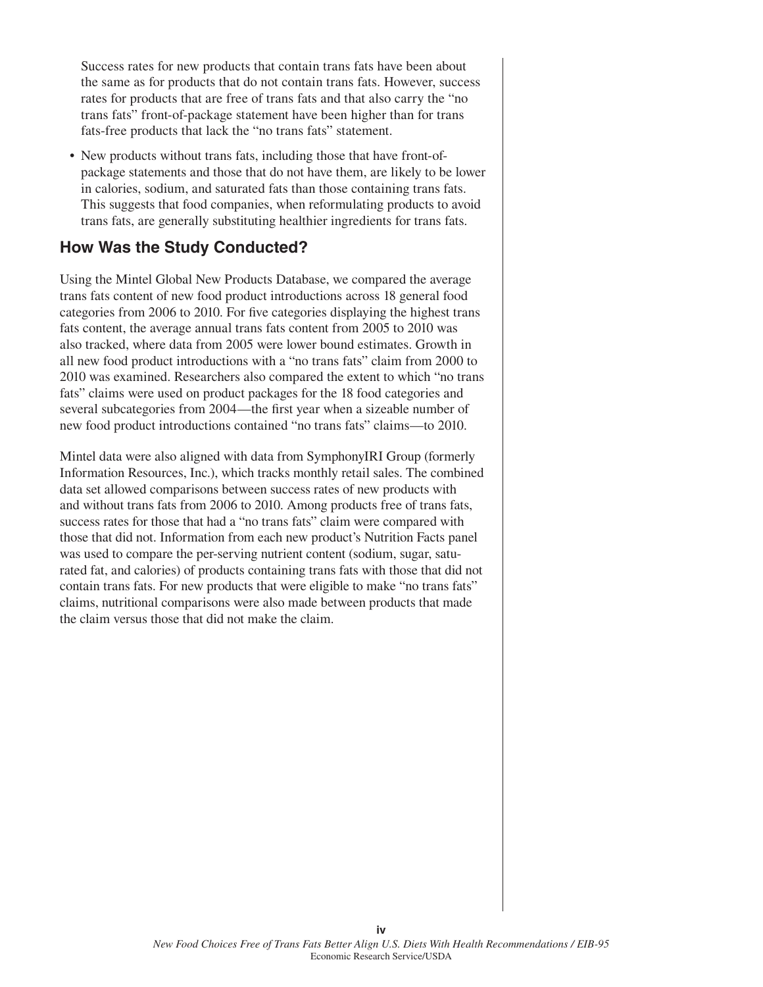Success rates for new products that contain trans fats have been about the same as for products that do not contain trans fats. However, success rates for products that are free of trans fats and that also carry the "no trans fats" front-of-package statement have been higher than for trans fats-free products that lack the "no trans fats" statement.

• New products without trans fats, including those that have front-ofpackage statements and those that do not have them, are likely to be lower in calories, sodium, and saturated fats than those containing trans fats. This suggests that food companies, when reformulating products to avoid trans fats, are generally substituting healthier ingredients for trans fats.

### **How Was the Study Conducted?**

Using the Mintel Global New Products Database, we compared the average trans fats content of new food product introductions across 18 general food categories from 2006 to 2010. For five categories displaying the highest trans fats content, the average annual trans fats content from 2005 to 2010 was also tracked, where data from 2005 were lower bound estimates. Growth in all new food product introductions with a "no trans fats" claim from 2000 to 2010 was examined. Researchers also compared the extent to which "no trans fats" claims were used on product packages for the 18 food categories and several subcategories from 2004—the first year when a sizeable number of new food product introductions contained "no trans fats" claims—to 2010.

Mintel data were also aligned with data from SymphonyIRI Group (formerly Information Resources, Inc.), which tracks monthly retail sales. The combined data set allowed comparisons between success rates of new products with and without trans fats from 2006 to 2010. Among products free of trans fats, success rates for those that had a "no trans fats" claim were compared with those that did not. Information from each new product's Nutrition Facts panel was used to compare the per-serving nutrient content (sodium, sugar, saturated fat, and calories) of products containing trans fats with those that did not contain trans fats. For new products that were eligible to make "no trans fats" claims, nutritional comparisons were also made between products that made the claim versus those that did not make the claim.

**iv**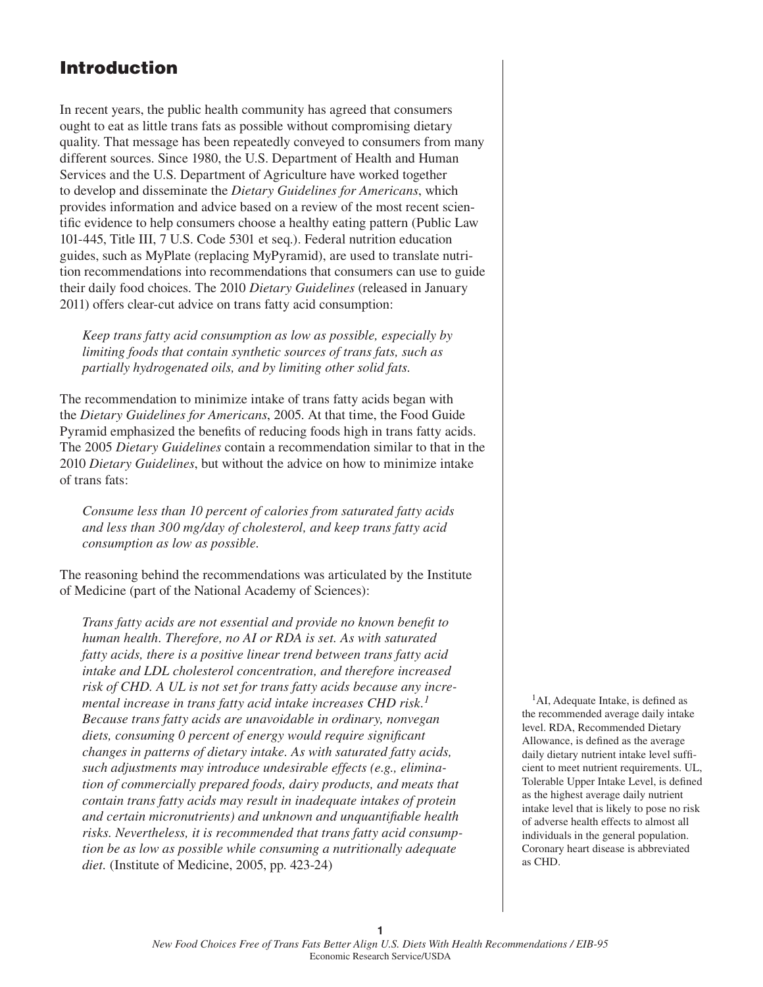# **Introduction**

In recent years, the public health community has agreed that consumers ought to eat as little trans fats as possible without compromising dietary quality. That message has been repeatedly conveyed to consumers from many different sources. Since 1980, the U.S. Department of Health and Human Services and the U.S. Department of Agriculture have worked together to develop and disseminate the *Dietary Guidelines for Americans*, which provides information and advice based on a review of the most recent scientific evidence to help consumers choose a healthy eating pattern (Public Law 101-445, Title III, 7 U.S. Code 5301 et seq.). Federal nutrition education guides, such as MyPlate (replacing MyPyramid), are used to translate nutrition recommendations into recommendations that consumers can use to guide their daily food choices. The 2010 *Dietary Guidelines* (released in January 2011) offers clear-cut advice on trans fatty acid consumption:

*Keep trans fatty acid consumption as low as possible, especially by limiting foods that contain synthetic sources of trans fats, such as partially hydrogenated oils, and by limiting other solid fats.* 

The recommendation to minimize intake of trans fatty acids began with the *Dietary Guidelines for Americans*, 2005. At that time, the Food Guide Pyramid emphasized the benefits of reducing foods high in trans fatty acids. The 2005 *Dietary Guidelines* contain a recommendation similar to that in the 2010 *Dietary Guidelines*, but without the advice on how to minimize intake of trans fats:

*Consume less than 10 percent of calories from saturated fatty acids and less than 300 mg/day of cholesterol, and keep trans fatty acid consumption as low as possible.* 

The reasoning behind the recommendations was articulated by the Institute of Medicine (part of the National Academy of Sciences):

*Trans fatty acids are not essential and provide no known benefi t to human health. Therefore, no AI or RDA is set. As with saturated fatty acids, there is a positive linear trend between trans fatty acid intake and LDL cholesterol concentration, and therefore increased risk of CHD. A UL is not set for trans fatty acids because any incremental increase in trans fatty acid intake increases CHD risk.<sup>1</sup> Because trans fatty acids are unavoidable in ordinary, nonvegan diets, consuming 0 percent of energy would require significant changes in patterns of dietary intake. As with saturated fatty acids, such adjustments may introduce undesirable effects (e.g., elimination of commercially prepared foods, dairy products, and meats that contain trans fatty acids may result in inadequate intakes of protein and certain micronutrients) and unknown and unquantifi able health risks. Nevertheless, it is recommended that trans fatty acid consumption be as low as possible while consuming a nutritionally adequate diet.* (Institute of Medicine, 2005, pp. 423-24)

 $<sup>1</sup>AI$ , Adequate Intake, is defined as</sup> the recommended average daily intake level. RDA, Recommended Dietary Allowance, is defined as the average daily dietary nutrient intake level sufficient to meet nutrient requirements. UL, Tolerable Upper Intake Level, is defined as the highest average daily nutrient intake level that is likely to pose no risk of adverse health effects to almost all individuals in the general population. Coronary heart disease is abbreviated as CHD.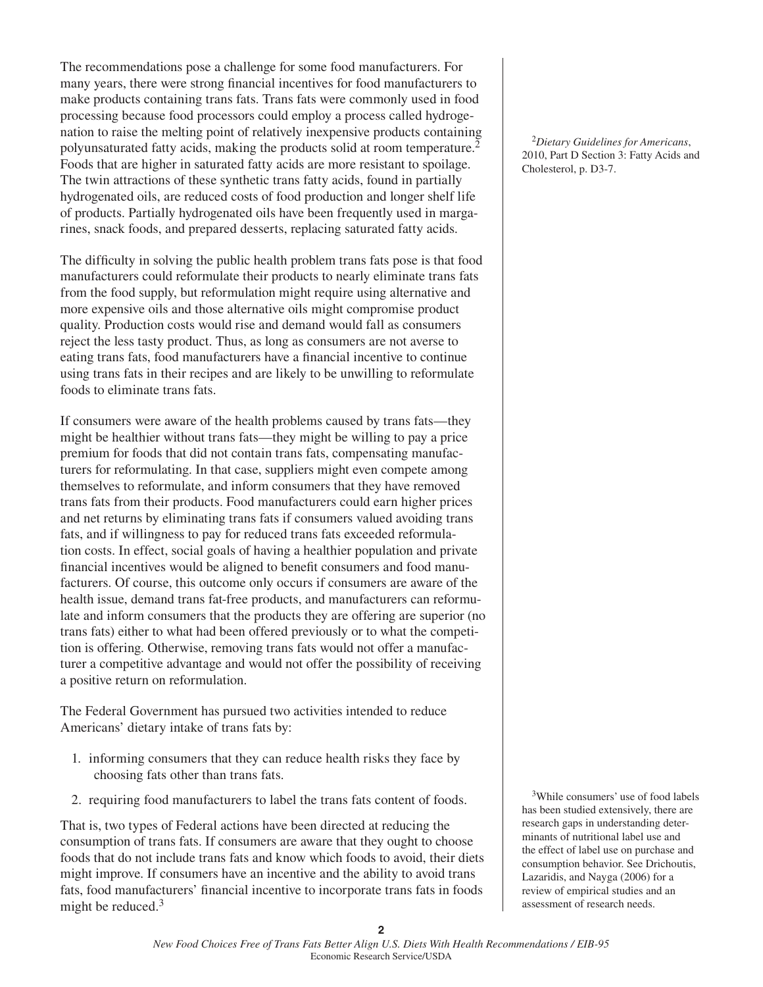The recommendations pose a challenge for some food manufacturers. For many years, there were strong financial incentives for food manufacturers to make products containing trans fats. Trans fats were commonly used in food processing because food processors could employ a process called hydrogenation to raise the melting point of relatively inexpensive products containing polyunsaturated fatty acids, making the products solid at room temperature.2 Foods that are higher in saturated fatty acids are more resistant to spoilage. The twin attractions of these synthetic trans fatty acids, found in partially hydrogenated oils, are reduced costs of food production and longer shelf life of products. Partially hydrogenated oils have been frequently used in margarines, snack foods, and prepared desserts, replacing saturated fatty acids.

The difficulty in solving the public health problem trans fats pose is that food manufacturers could reformulate their products to nearly eliminate trans fats from the food supply, but reformulation might require using alternative and more expensive oils and those alternative oils might compromise product quality. Production costs would rise and demand would fall as consumers reject the less tasty product. Thus, as long as consumers are not averse to eating trans fats, food manufacturers have a financial incentive to continue using trans fats in their recipes and are likely to be unwilling to reformulate foods to eliminate trans fats.

If consumers were aware of the health problems caused by trans fats—they might be healthier without trans fats—they might be willing to pay a price premium for foods that did not contain trans fats, compensating manufacturers for reformulating. In that case, suppliers might even compete among themselves to reformulate, and inform consumers that they have removed trans fats from their products. Food manufacturers could earn higher prices and net returns by eliminating trans fats if consumers valued avoiding trans fats, and if willingness to pay for reduced trans fats exceeded reformulation costs. In effect, social goals of having a healthier population and private financial incentives would be aligned to benefit consumers and food manufacturers. Of course, this outcome only occurs if consumers are aware of the health issue, demand trans fat-free products, and manufacturers can reformulate and inform consumers that the products they are offering are superior (no trans fats) either to what had been offered previously or to what the competition is offering. Otherwise, removing trans fats would not offer a manufacturer a competitive advantage and would not offer the possibility of receiving a positive return on reformulation.

The Federal Government has pursued two activities intended to reduce Americans' dietary intake of trans fats by:

- 1. informing consumers that they can reduce health risks they face by choosing fats other than trans fats.
- 2. requiring food manufacturers to label the trans fats content of foods.

That is, two types of Federal actions have been directed at reducing the consumption of trans fats. If consumers are aware that they ought to choose foods that do not include trans fats and know which foods to avoid, their diets might improve. If consumers have an incentive and the ability to avoid trans fats, food manufacturers' financial incentive to incorporate trans fats in foods might be reduced.<sup>3</sup>

<sup>2</sup>*Dietary Guidelines for Americans*, 2010, Part D Section 3: Fatty Acids and Cholesterol, p. D3-7.

3While consumers' use of food labels has been studied extensively, there are research gaps in understanding determinants of nutritional label use and the effect of label use on purchase and consumption behavior. See Drichoutis, Lazaridis, and Nayga (2006) for a review of empirical studies and an assessment of research needs.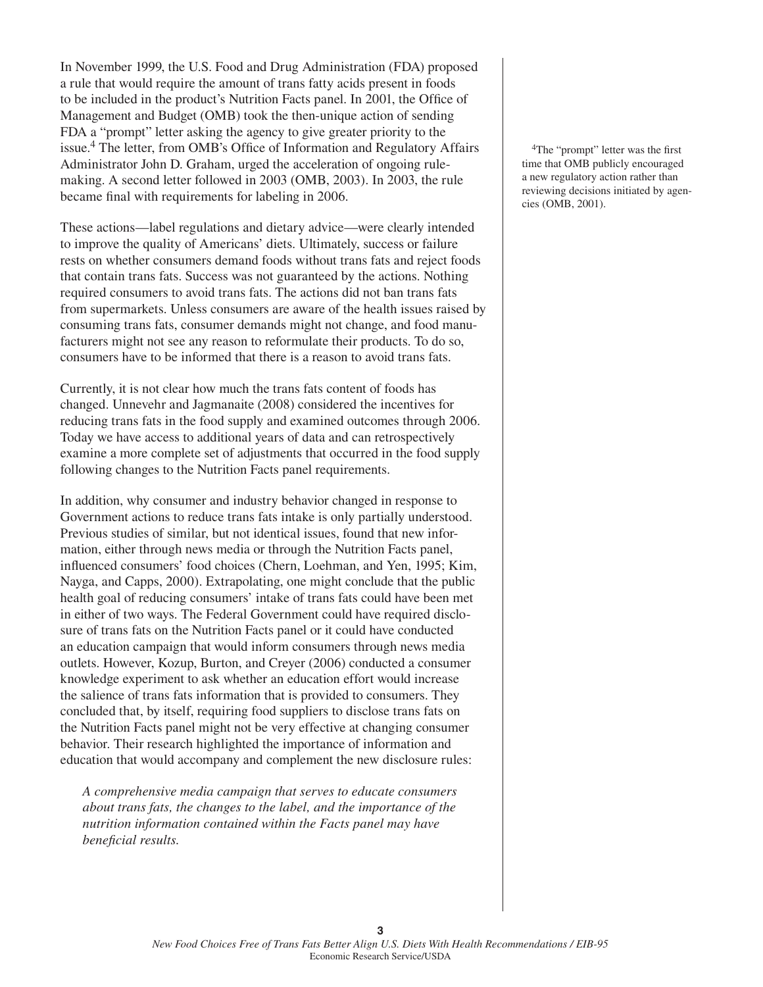In November 1999, the U.S. Food and Drug Administration (FDA) proposed a rule that would require the amount of trans fatty acids present in foods to be included in the product's Nutrition Facts panel. In 2001, the Office of Management and Budget (OMB) took the then-unique action of sending FDA a "prompt" letter asking the agency to give greater priority to the issue.<sup>4</sup> The letter, from OMB's Office of Information and Regulatory Affairs Administrator John D. Graham, urged the acceleration of ongoing rulemaking. A second letter followed in 2003 (OMB, 2003). In 2003, the rule became final with requirements for labeling in 2006.

These actions—label regulations and dietary advice—were clearly intended to improve the quality of Americans' diets. Ultimately, success or failure rests on whether consumers demand foods without trans fats and reject foods that contain trans fats. Success was not guaranteed by the actions. Nothing required consumers to avoid trans fats. The actions did not ban trans fats from supermarkets. Unless consumers are aware of the health issues raised by consuming trans fats, consumer demands might not change, and food manufacturers might not see any reason to reformulate their products. To do so, consumers have to be informed that there is a reason to avoid trans fats.

Currently, it is not clear how much the trans fats content of foods has changed. Unnevehr and Jagmanaite (2008) considered the incentives for reducing trans fats in the food supply and examined outcomes through 2006. Today we have access to additional years of data and can retrospectively examine a more complete set of adjustments that occurred in the food supply following changes to the Nutrition Facts panel requirements.

In addition, why consumer and industry behavior changed in response to Government actions to reduce trans fats intake is only partially understood. Previous studies of similar, but not identical issues, found that new information, either through news media or through the Nutrition Facts panel, influenced consumers' food choices (Chern, Loehman, and Yen, 1995; Kim, Nayga, and Capps, 2000). Extrapolating, one might conclude that the public health goal of reducing consumers' intake of trans fats could have been met in either of two ways. The Federal Government could have required disclosure of trans fats on the Nutrition Facts panel or it could have conducted an education campaign that would inform consumers through news media outlets. However, Kozup, Burton, and Creyer (2006) conducted a consumer knowledge experiment to ask whether an education effort would increase the salience of trans fats information that is provided to consumers. They concluded that, by itself, requiring food suppliers to disclose trans fats on the Nutrition Facts panel might not be very effective at changing consumer behavior. Their research highlighted the importance of information and education that would accompany and complement the new disclosure rules:

*A comprehensive media campaign that serves to educate consumers about trans fats, the changes to the label, and the importance of the nutrition information contained within the Facts panel may have beneficial results.* 

<sup>4</sup>The "prompt" letter was the first time that OMB publicly encouraged a new regulatory action rather than reviewing decisions initiated by agencies (OMB, 2001).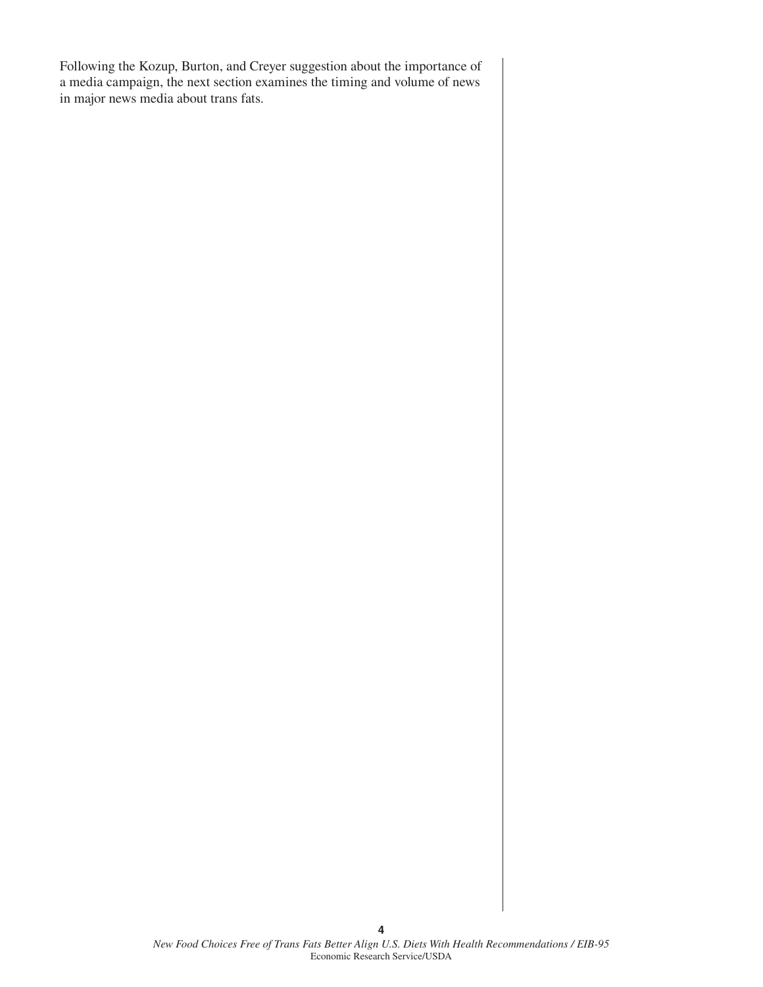Following the Kozup, Burton, and Creyer suggestion about the importance of a media campaign, the next section examines the timing and volume of news in major news media about trans fats.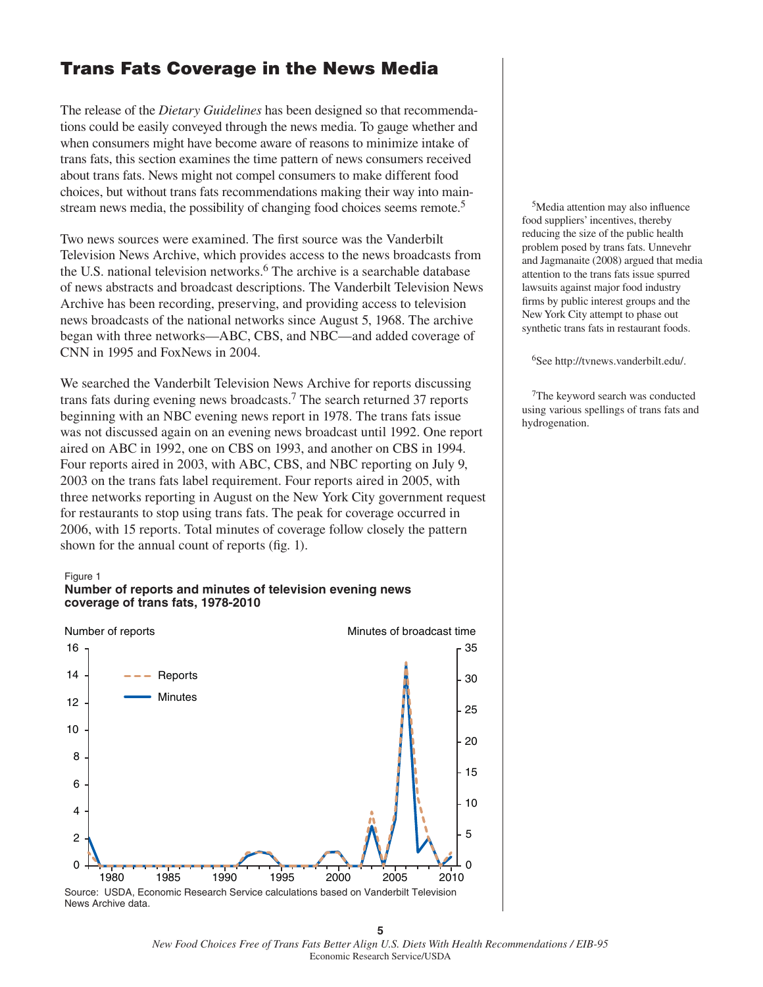### **Trans Fats Coverage in the News Media**

The release of the *Dietary Guidelines* has been designed so that recommendations could be easily conveyed through the news media. To gauge whether and when consumers might have become aware of reasons to minimize intake of trans fats, this section examines the time pattern of news consumers received about trans fats. News might not compel consumers to make different food choices, but without trans fats recommendations making their way into mainstream news media, the possibility of changing food choices seems remote.<sup>5</sup>

Two news sources were examined. The first source was the Vanderbilt Television News Archive, which provides access to the news broadcasts from the U.S. national television networks.<sup>6</sup> The archive is a searchable database of news abstracts and broadcast descriptions. The Vanderbilt Television News Archive has been recording, preserving, and providing access to television news broadcasts of the national networks since August 5, 1968. The archive began with three networks—ABC, CBS, and NBC—and added coverage of CNN in 1995 and FoxNews in 2004.

We searched the Vanderbilt Television News Archive for reports discussing trans fats during evening news broadcasts.7 The search returned 37 reports beginning with an NBC evening news report in 1978. The trans fats issue was not discussed again on an evening news broadcast until 1992. One report aired on ABC in 1992, one on CBS on 1993, and another on CBS in 1994. Four reports aired in 2003, with ABC, CBS, and NBC reporting on July 9, 2003 on the trans fats label requirement. Four reports aired in 2005, with three networks reporting in August on the New York City government request for restaurants to stop using trans fats. The peak for coverage occurred in 2006, with 15 reports. Total minutes of coverage follow closely the pattern shown for the annual count of reports (fig. 1).

#### Figure 1





News Archive data.

 $5$ Media attention may also influence food suppliers' incentives, thereby reducing the size of the public health problem posed by trans fats. Unnevehr and Jagmanaite (2008) argued that media attention to the trans fats issue spurred lawsuits against major food industry firms by public interest groups and the New York City attempt to phase out synthetic trans fats in restaurant foods.

6See http://tvnews.vanderbilt.edu/.

7The keyword search was conducted using various spellings of trans fats and hydrogenation.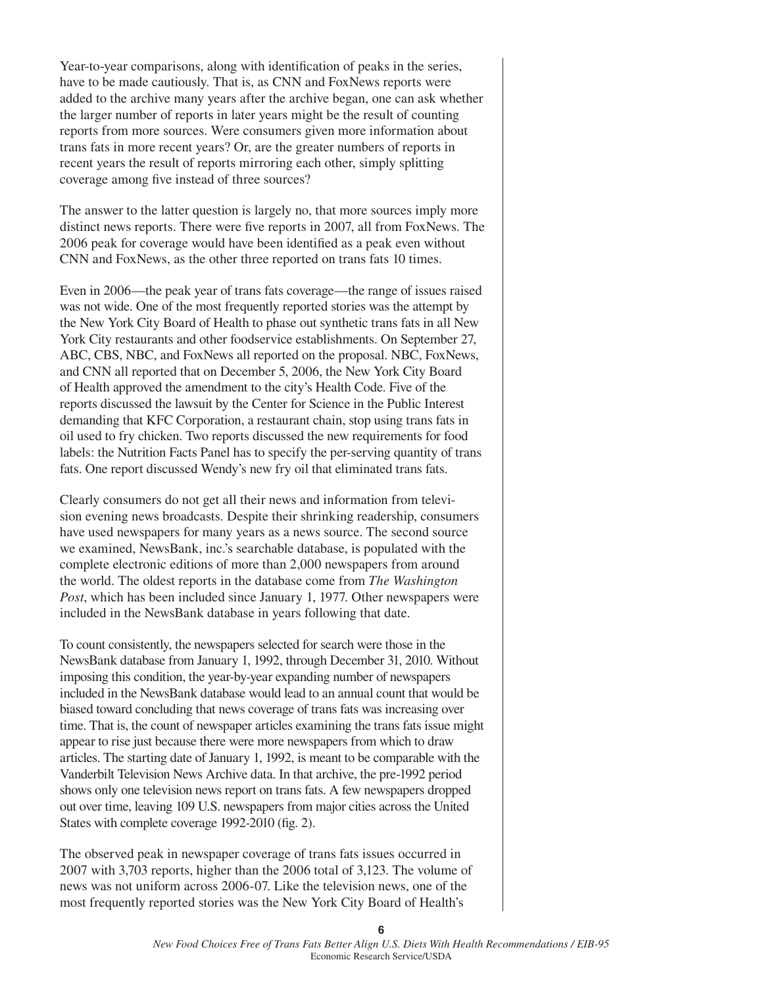Year-to-year comparisons, along with identification of peaks in the series, have to be made cautiously. That is, as CNN and FoxNews reports were added to the archive many years after the archive began, one can ask whether the larger number of reports in later years might be the result of counting reports from more sources. Were consumers given more information about trans fats in more recent years? Or, are the greater numbers of reports in recent years the result of reports mirroring each other, simply splitting coverage among five instead of three sources?

The answer to the latter question is largely no, that more sources imply more distinct news reports. There were five reports in 2007, all from FoxNews. The 2006 peak for coverage would have been identified as a peak even without CNN and FoxNews, as the other three reported on trans fats 10 times.

Even in 2006—the peak year of trans fats coverage—the range of issues raised was not wide. One of the most frequently reported stories was the attempt by the New York City Board of Health to phase out synthetic trans fats in all New York City restaurants and other foodservice establishments. On September 27, ABC, CBS, NBC, and FoxNews all reported on the proposal. NBC, FoxNews, and CNN all reported that on December 5, 2006, the New York City Board of Health approved the amendment to the city's Health Code. Five of the reports discussed the lawsuit by the Center for Science in the Public Interest demanding that KFC Corporation, a restaurant chain, stop using trans fats in oil used to fry chicken. Two reports discussed the new requirements for food labels: the Nutrition Facts Panel has to specify the per-serving quantity of trans fats. One report discussed Wendy's new fry oil that eliminated trans fats.

Clearly consumers do not get all their news and information from television evening news broadcasts. Despite their shrinking readership, consumers have used newspapers for many years as a news source. The second source we examined, NewsBank, inc.'s searchable database, is populated with the complete electronic editions of more than 2,000 newspapers from around the world. The oldest reports in the database come from *The Washington Post*, which has been included since January 1, 1977. Other newspapers were included in the NewsBank database in years following that date.

To count consistently, the newspapers selected for search were those in the NewsBank database from January 1, 1992, through December 31, 2010. Without imposing this condition, the year-by-year expanding number of newspapers included in the NewsBank database would lead to an annual count that would be biased toward concluding that news coverage of trans fats was increasing over time. That is, the count of newspaper articles examining the trans fats issue might appear to rise just because there were more newspapers from which to draw articles. The starting date of January 1, 1992, is meant to be comparable with the Vanderbilt Television News Archive data. In that archive, the pre-1992 period shows only one television news report on trans fats. A few newspapers dropped out over time, leaving 109 U.S. newspapers from major cities across the United States with complete coverage 1992-2010 (fig. 2).

The observed peak in newspaper coverage of trans fats issues occurred in 2007 with 3,703 reports, higher than the 2006 total of 3,123. The volume of news was not uniform across 2006-07. Like the television news, one of the most frequently reported stories was the New York City Board of Health's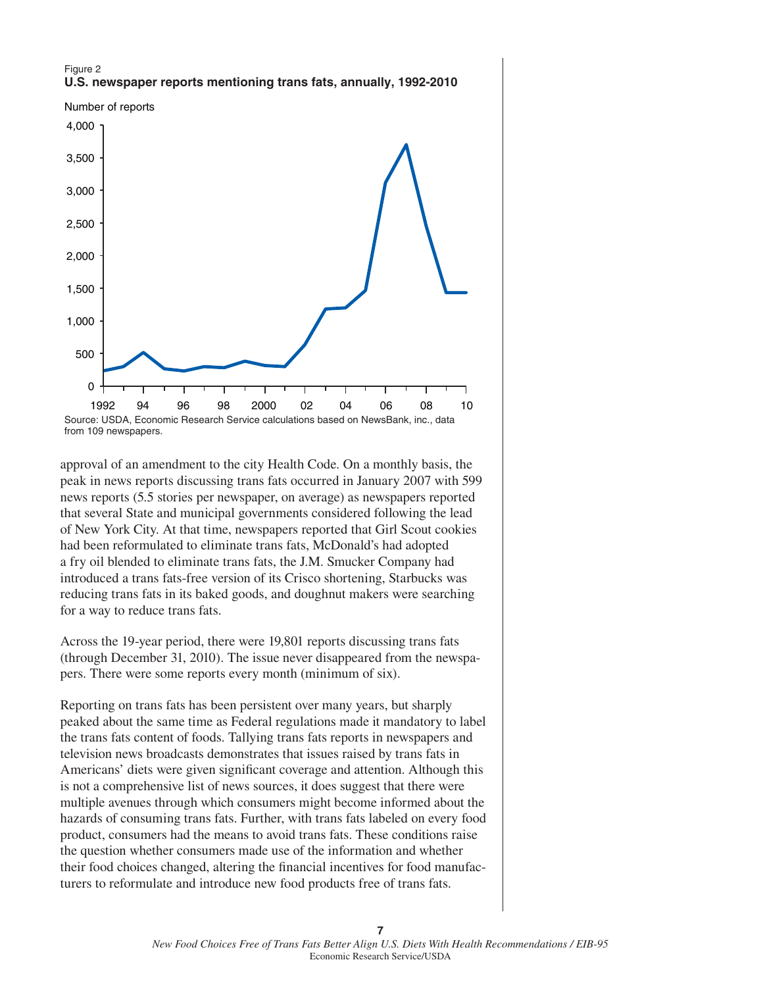



Source: USDA, Economic Research Service calculations based on NewsBank, inc., data from 109 newspapers.

approval of an amendment to the city Health Code. On a monthly basis, the peak in news reports discussing trans fats occurred in January 2007 with 599 news reports (5.5 stories per newspaper, on average) as newspapers reported that several State and municipal governments considered following the lead of New York City. At that time, newspapers reported that Girl Scout cookies had been reformulated to eliminate trans fats, McDonald's had adopted a fry oil blended to eliminate trans fats, the J.M. Smucker Company had introduced a trans fats-free version of its Crisco shortening, Starbucks was reducing trans fats in its baked goods, and doughnut makers were searching for a way to reduce trans fats.

Across the 19-year period, there were 19,801 reports discussing trans fats (through December 31, 2010). The issue never disappeared from the newspapers. There were some reports every month (minimum of six).

Reporting on trans fats has been persistent over many years, but sharply peaked about the same time as Federal regulations made it mandatory to label the trans fats content of foods. Tallying trans fats reports in newspapers and television news broadcasts demonstrates that issues raised by trans fats in Americans' diets were given significant coverage and attention. Although this is not a comprehensive list of news sources, it does suggest that there were multiple avenues through which consumers might become informed about the hazards of consuming trans fats. Further, with trans fats labeled on every food product, consumers had the means to avoid trans fats. These conditions raise the question whether consumers made use of the information and whether their food choices changed, altering the financial incentives for food manufacturers to reformulate and introduce new food products free of trans fats.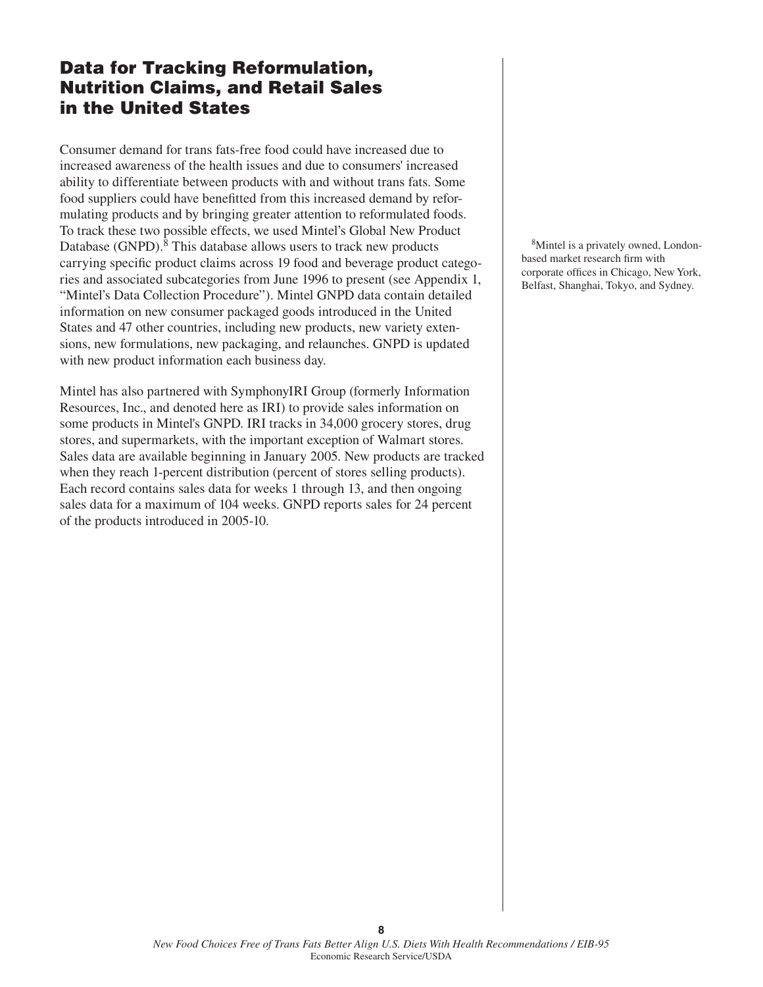## **Data for Tracking Reformulation, Nutrition Claims, and Retail Sales in the United States**

Consumer demand for trans fats-free food could have increased due to increased awareness of the health issues and due to consumers' increased ability to differentiate between products with and without trans fats. Some food suppliers could have benefitted from this increased demand by reformulating products and by bringing greater attention to reformulated foods. To track these two possible effects, we used Mintel's Global New Product Database (GNPD).<sup>8</sup> This database allows users to track new products carrying specific product claims across 19 food and beverage product categories and associated subcategories from June 1996 to present (see Appendix 1, "Mintel's Data Collection Procedure"). Mintel GNPD data contain detailed information on new consumer packaged goods introduced in the United States and 47 other countries, including new products, new variety extensions, new formulations, new packaging, and relaunches. GNPD is updated with new product information each business day.

Mintel has also partnered with SymphonyIRI Group (formerly Information Resources, Inc., and denoted here as IRI) to provide sales information on some products in Mintel's GNPD. IRI tracks in 34,000 grocery stores, drug stores, and supermarkets, with the important exception of Walmart stores. Sales data are available beginning in January 2005. New products are tracked when they reach 1-percent distribution (percent of stores selling products). Each record contains sales data for weeks 1 through 13, and then ongoing sales data for a maximum of 104 weeks. GNPD reports sales for 24 percent of the products introduced in 2005-10.

8Mintel is a privately owned, Londonbased market research firm with corporate offices in Chicago, New York, Belfast, Shanghai, Tokyo, and Sydney.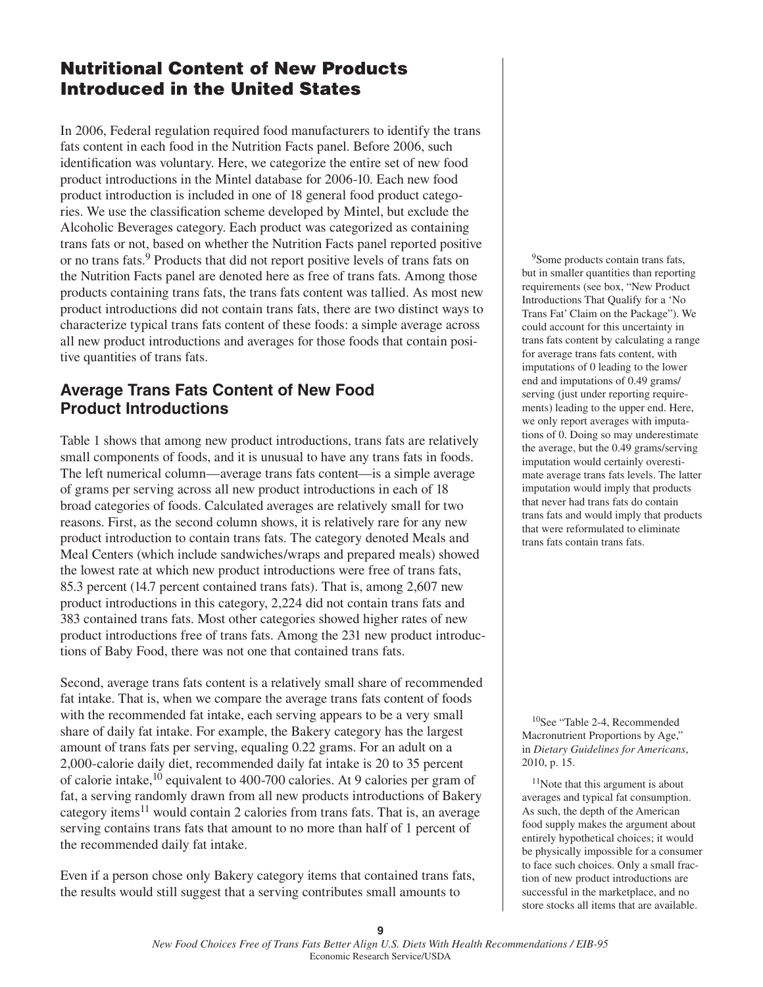## **Nutritional Content of New Products Introduced in the United States**

In 2006, Federal regulation required food manufacturers to identify the trans fats content in each food in the Nutrition Facts panel. Before 2006, such identification was voluntary. Here, we categorize the entire set of new food product introductions in the Mintel database for 2006-10. Each new food product introduction is included in one of 18 general food product categories. We use the classification scheme developed by Mintel, but exclude the Alcoholic Beverages category. Each product was categorized as containing trans fats or not, based on whether the Nutrition Facts panel reported positive or no trans fats.9 Products that did not report positive levels of trans fats on the Nutrition Facts panel are denoted here as free of trans fats. Among those products containing trans fats, the trans fats content was tallied. As most new product introductions did not contain trans fats, there are two distinct ways to characterize typical trans fats content of these foods: a simple average across all new product introductions and averages for those foods that contain positive quantities of trans fats.

### **Average Trans Fats Content of New Food Product Introductions**

Table 1 shows that among new product introductions, trans fats are relatively small components of foods, and it is unusual to have any trans fats in foods. The left numerical column—average trans fats content—is a simple average of grams per serving across all new product introductions in each of 18 broad categories of foods. Calculated averages are relatively small for two reasons. First, as the second column shows, it is relatively rare for any new product introduction to contain trans fats. The category denoted Meals and Meal Centers (which include sandwiches/wraps and prepared meals) showed the lowest rate at which new product introductions were free of trans fats, 85.3 percent (14.7 percent contained trans fats). That is, among 2,607 new product introductions in this category, 2,224 did not contain trans fats and 383 contained trans fats. Most other categories showed higher rates of new product introductions free of trans fats. Among the 231 new product introductions of Baby Food, there was not one that contained trans fats.

Second, average trans fats content is a relatively small share of recommended fat intake. That is, when we compare the average trans fats content of foods with the recommended fat intake, each serving appears to be a very small share of daily fat intake. For example, the Bakery category has the largest amount of trans fats per serving, equaling 0.22 grams. For an adult on a 2,000-calorie daily diet, recommended daily fat intake is 20 to 35 percent of calorie intake,<sup>10</sup> equivalent to 400-700 calories. At 9 calories per gram of fat, a serving randomly drawn from all new products introductions of Bakery category items<sup>11</sup> would contain 2 calories from trans fats. That is, an average serving contains trans fats that amount to no more than half of 1 percent of the recommended daily fat intake.

Even if a person chose only Bakery category items that contained trans fats, the results would still suggest that a serving contributes small amounts to

<sup>9</sup>Some products contain trans fats, but in smaller quantities than reporting requirements (see box, "New Product Introductions That Qualify for a 'No Trans Fat' Claim on the Package"). We could account for this uncertainty in trans fats content by calculating a range for average trans fats content, with imputations of 0 leading to the lower end and imputations of 0.49 grams/ serving (just under reporting requirements) leading to the upper end. Here, we only report averages with imputations of 0. Doing so may underestimate the average, but the 0.49 grams/serving imputation would certainly overestimate average trans fats levels. The latter imputation would imply that products that never had trans fats do contain trans fats and would imply that products that were reformulated to eliminate trans fats contain trans fats.

10See "Table 2-4, Recommended Macronutrient Proportions by Age," in *Dietary Guidelines for Americans*, 2010, p. 15.

<sup>11</sup>Note that this argument is about averages and typical fat consumption. As such, the depth of the American food supply makes the argument about entirely hypothetical choices; it would be physically impossible for a consumer to face such choices. Only a small fraction of new product introductions are successful in the marketplace, and no store stocks all items that are available.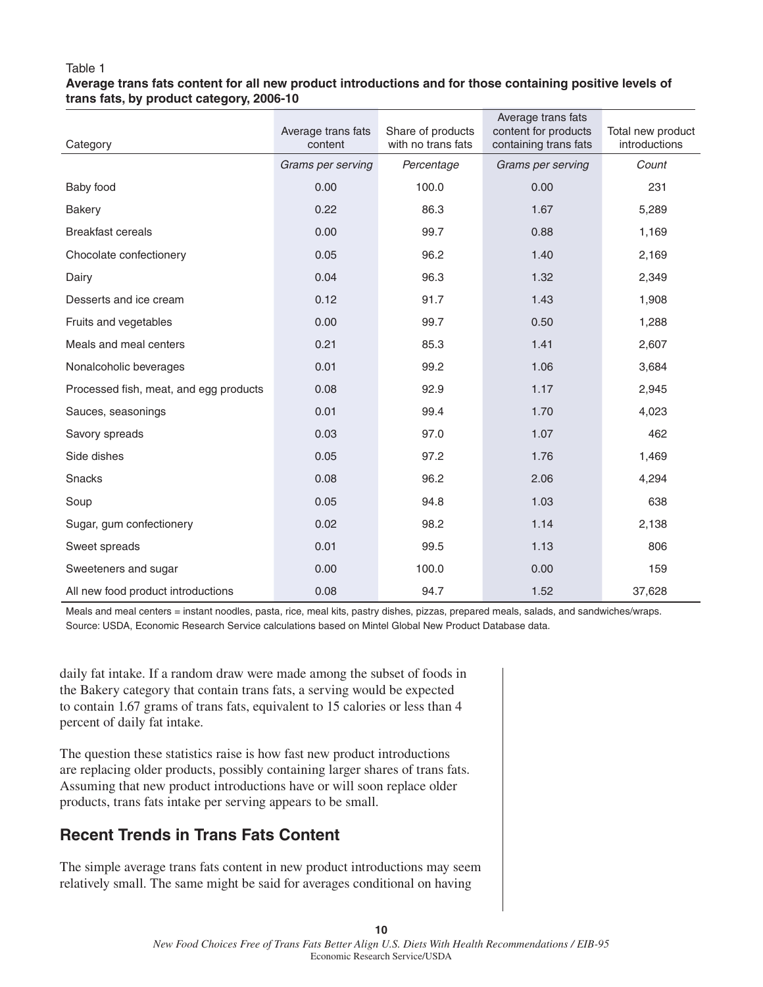### Table 1

### **Average trans fats content for all new product introductions and for those containing positive levels of trans fats, by product category, 2006-10**

| Category                               | Average trans fats<br>content | Share of products<br>with no trans fats | Average trans fats<br>content for products<br>containing trans fats | Total new product<br>introductions |
|----------------------------------------|-------------------------------|-----------------------------------------|---------------------------------------------------------------------|------------------------------------|
|                                        | Grams per serving             | Percentage                              | Grams per serving                                                   | Count                              |
| Baby food                              | 0.00                          | 100.0                                   | 0.00                                                                | 231                                |
| <b>Bakery</b>                          | 0.22                          | 86.3                                    | 1.67                                                                | 5,289                              |
| <b>Breakfast cereals</b>               | 0.00                          | 99.7                                    | 0.88                                                                | 1,169                              |
| Chocolate confectionery                | 0.05                          | 96.2                                    | 1.40                                                                | 2,169                              |
| Dairy                                  | 0.04                          | 96.3                                    | 1.32                                                                | 2,349                              |
| Desserts and ice cream                 | 0.12                          | 91.7                                    | 1.43                                                                | 1,908                              |
| Fruits and vegetables                  | 0.00                          | 99.7                                    | 0.50                                                                | 1,288                              |
| Meals and meal centers                 | 0.21                          | 85.3                                    | 1.41                                                                | 2,607                              |
| Nonalcoholic beverages                 | 0.01                          | 99.2                                    | 1.06                                                                | 3,684                              |
| Processed fish, meat, and egg products | 0.08                          | 92.9                                    | 1.17                                                                | 2,945                              |
| Sauces, seasonings                     | 0.01                          | 99.4                                    | 1.70                                                                | 4,023                              |
| Savory spreads                         | 0.03                          | 97.0                                    | 1.07                                                                | 462                                |
| Side dishes                            | 0.05                          | 97.2                                    | 1.76                                                                | 1,469                              |
| <b>Snacks</b>                          | 0.08                          | 96.2                                    | 2.06                                                                | 4,294                              |
| Soup                                   | 0.05                          | 94.8                                    | 1.03                                                                | 638                                |
| Sugar, gum confectionery               | 0.02                          | 98.2                                    | 1.14                                                                | 2,138                              |
| Sweet spreads                          | 0.01                          | 99.5                                    | 1.13                                                                | 806                                |
| Sweeteners and sugar                   | 0.00                          | 100.0                                   | 0.00                                                                | 159                                |
| All new food product introductions     | 0.08                          | 94.7                                    | 1.52                                                                | 37,628                             |

Meals and meal centers = instant noodles, pasta, rice, meal kits, pastry dishes, pizzas, prepared meals, salads, and sandwiches/wraps. Source: USDA, Economic Research Service calculations based on Mintel Global New Product Database data.

daily fat intake. If a random draw were made among the subset of foods in the Bakery category that contain trans fats, a serving would be expected to contain 1.67 grams of trans fats, equivalent to 15 calories or less than 4 percent of daily fat intake.

The question these statistics raise is how fast new product introductions are replacing older products, possibly containing larger shares of trans fats. Assuming that new product introductions have or will soon replace older products, trans fats intake per serving appears to be small.

### **Recent Trends in Trans Fats Content**

The simple average trans fats content in new product introductions may seem relatively small. The same might be said for averages conditional on having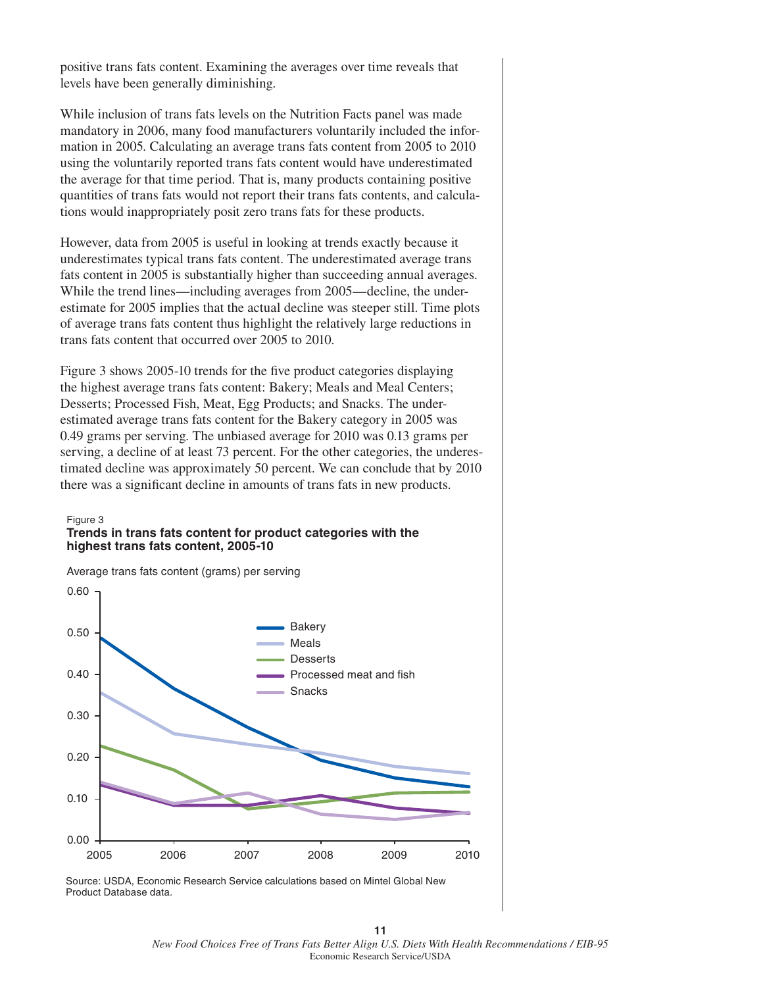positive trans fats content. Examining the averages over time reveals that levels have been generally diminishing.

While inclusion of trans fats levels on the Nutrition Facts panel was made mandatory in 2006, many food manufacturers voluntarily included the information in 2005. Calculating an average trans fats content from 2005 to 2010 using the voluntarily reported trans fats content would have underestimated the average for that time period. That is, many products containing positive quantities of trans fats would not report their trans fats contents, and calculations would inappropriately posit zero trans fats for these products.

However, data from 2005 is useful in looking at trends exactly because it underestimates typical trans fats content. The underestimated average trans fats content in 2005 is substantially higher than succeeding annual averages. While the trend lines—including averages from 2005—decline, the underestimate for 2005 implies that the actual decline was steeper still. Time plots of average trans fats content thus highlight the relatively large reductions in trans fats content that occurred over 2005 to 2010.

Figure 3 shows 2005-10 trends for the five product categories displaying the highest average trans fats content: Bakery; Meals and Meal Centers; Desserts; Processed Fish, Meat, Egg Products; and Snacks. The underestimated average trans fats content for the Bakery category in 2005 was 0.49 grams per serving. The unbiased average for 2010 was 0.13 grams per serving, a decline of at least 73 percent. For the other categories, the underestimated decline was approximately 50 percent. We can conclude that by 2010 there was a significant decline in amounts of trans fats in new products.

#### Figure 3 **Trends in trans fats content for product categories with the highest trans fats content, 2005-10**



Average trans fats content (grams) per serving

Source: USDA, Economic Research Service calculations based on Mintel Global New Product Database data.

*New Food Choices Free of Trans Fats Better Align U.S. Diets With Health Recommendations / EIB-95* Economic Research Service/USDA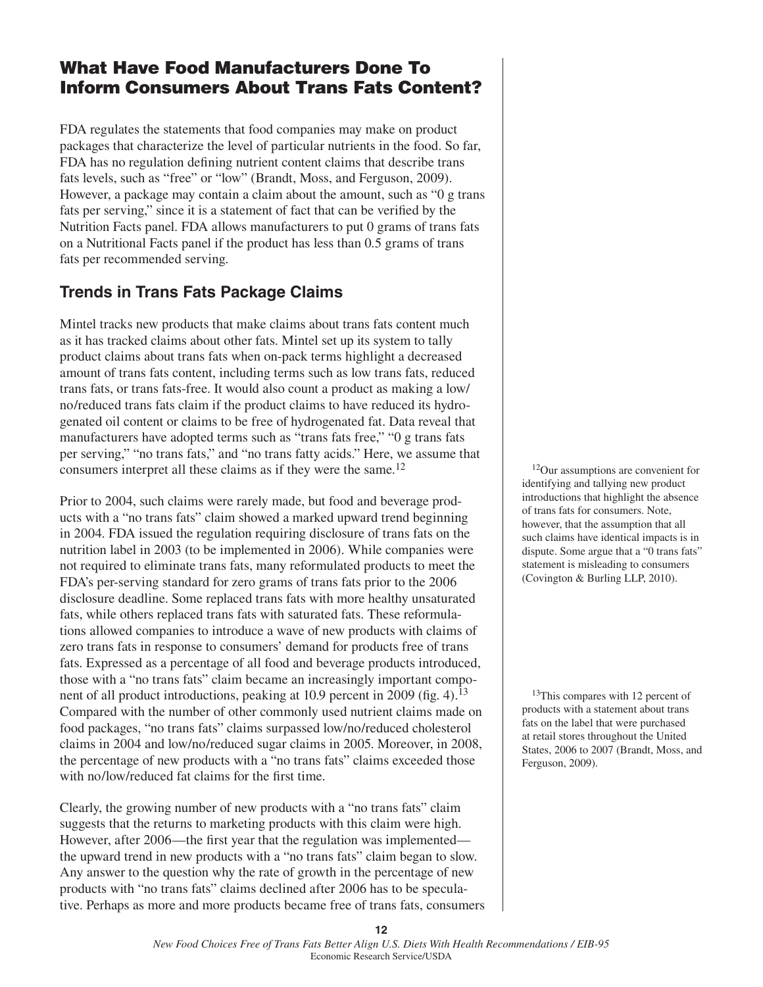# **What Have Food Manufacturers Done To Inform Consumers About Trans Fats Content?**

FDA regulates the statements that food companies may make on product packages that characterize the level of particular nutrients in the food. So far, FDA has no regulation defining nutrient content claims that describe trans fats levels, such as "free" or "low" (Brandt, Moss, and Ferguson, 2009). However, a package may contain a claim about the amount, such as "0 g trans fats per serving," since it is a statement of fact that can be verified by the Nutrition Facts panel. FDA allows manufacturers to put 0 grams of trans fats on a Nutritional Facts panel if the product has less than 0.5 grams of trans fats per recommended serving.

### **Trends in Trans Fats Package Claims**

Mintel tracks new products that make claims about trans fats content much as it has tracked claims about other fats. Mintel set up its system to tally product claims about trans fats when on-pack terms highlight a decreased amount of trans fats content, including terms such as low trans fats, reduced trans fats, or trans fats-free. It would also count a product as making a low/ no/reduced trans fats claim if the product claims to have reduced its hydrogenated oil content or claims to be free of hydrogenated fat. Data reveal that manufacturers have adopted terms such as "trans fats free," "0 g trans fats per serving," "no trans fats," and "no trans fatty acids." Here, we assume that consumers interpret all these claims as if they were the same.<sup>12</sup>

Prior to 2004, such claims were rarely made, but food and beverage products with a "no trans fats" claim showed a marked upward trend beginning in 2004. FDA issued the regulation requiring disclosure of trans fats on the nutrition label in 2003 (to be implemented in 2006). While companies were not required to eliminate trans fats, many reformulated products to meet the FDA's per-serving standard for zero grams of trans fats prior to the 2006 disclosure deadline. Some replaced trans fats with more healthy unsaturated fats, while others replaced trans fats with saturated fats. These reformulations allowed companies to introduce a wave of new products with claims of zero trans fats in response to consumers' demand for products free of trans fats. Expressed as a percentage of all food and beverage products introduced, those with a "no trans fats" claim became an increasingly important component of all product introductions, peaking at 10.9 percent in 2009 (fig. 4).<sup>13</sup> Compared with the number of other commonly used nutrient claims made on food packages, "no trans fats" claims surpassed low/no/reduced cholesterol claims in 2004 and low/no/reduced sugar claims in 2005. Moreover, in 2008, the percentage of new products with a "no trans fats" claims exceeded those with no/low/reduced fat claims for the first time.

Clearly, the growing number of new products with a "no trans fats" claim suggests that the returns to marketing products with this claim were high. However, after 2006—the first year that the regulation was implemented the upward trend in new products with a "no trans fats" claim began to slow. Any answer to the question why the rate of growth in the percentage of new products with "no trans fats" claims declined after 2006 has to be speculative. Perhaps as more and more products became free of trans fats, consumers

12Our assumptions are convenient for identifying and tallying new product introductions that highlight the absence of trans fats for consumers. Note, however, that the assumption that all such claims have identical impacts is in dispute. Some argue that a "0 trans fats" statement is misleading to consumers (Covington & Burling LLP, 2010).

<sup>13</sup>This compares with 12 percent of products with a statement about trans fats on the label that were purchased at retail stores throughout the United States, 2006 to 2007 (Brandt, Moss, and Ferguson, 2009).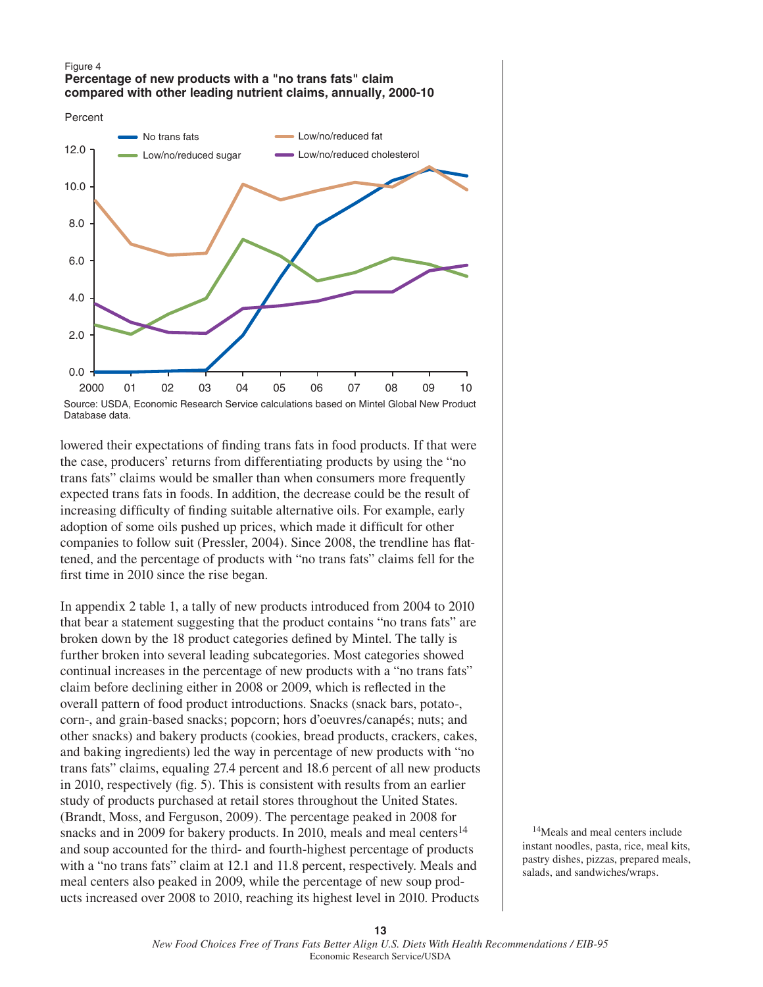#### Figure 4 **Percentage of new products with a "no trans fats" claim compared with other leading nutrient claims, annually, 2000-10**





Database data.

lowered their expectations of finding trans fats in food products. If that were the case, producers' returns from differentiating products by using the "no trans fats" claims would be smaller than when consumers more frequently expected trans fats in foods. In addition, the decrease could be the result of increasing difficulty of finding suitable alternative oils. For example, early adoption of some oils pushed up prices, which made it difficult for other companies to follow suit (Pressler, 2004). Since 2008, the trendline has flattened, and the percentage of products with "no trans fats" claims fell for the first time in 2010 since the rise began.

In appendix 2 table 1, a tally of new products introduced from 2004 to 2010 that bear a statement suggesting that the product contains "no trans fats" are broken down by the 18 product categories defined by Mintel. The tally is further broken into several leading subcategories. Most categories showed continual increases in the percentage of new products with a "no trans fats" claim before declining either in 2008 or 2009, which is reflected in the overall pattern of food product introductions. Snacks (snack bars, potato-, corn-, and grain-based snacks; popcorn; hors d'oeuvres/canapés; nuts; and other snacks) and bakery products (cookies, bread products, crackers, cakes, and baking ingredients) led the way in percentage of new products with "no trans fats" claims, equaling 27.4 percent and 18.6 percent of all new products in 2010, respectively (fig. 5). This is consistent with results from an earlier study of products purchased at retail stores throughout the United States. (Brandt, Moss, and Ferguson, 2009). The percentage peaked in 2008 for snacks and in 2009 for bakery products. In 2010, meals and meal centers<sup>14</sup> and soup accounted for the third- and fourth-highest percentage of products with a "no trans fats" claim at 12.1 and 11.8 percent, respectively. Meals and meal centers also peaked in 2009, while the percentage of new soup products increased over 2008 to 2010, reaching its highest level in 2010. Products

<sup>14</sup>Meals and meal centers include instant noodles, pasta, rice, meal kits, pastry dishes, pizzas, prepared meals, salads, and sandwiches/wraps.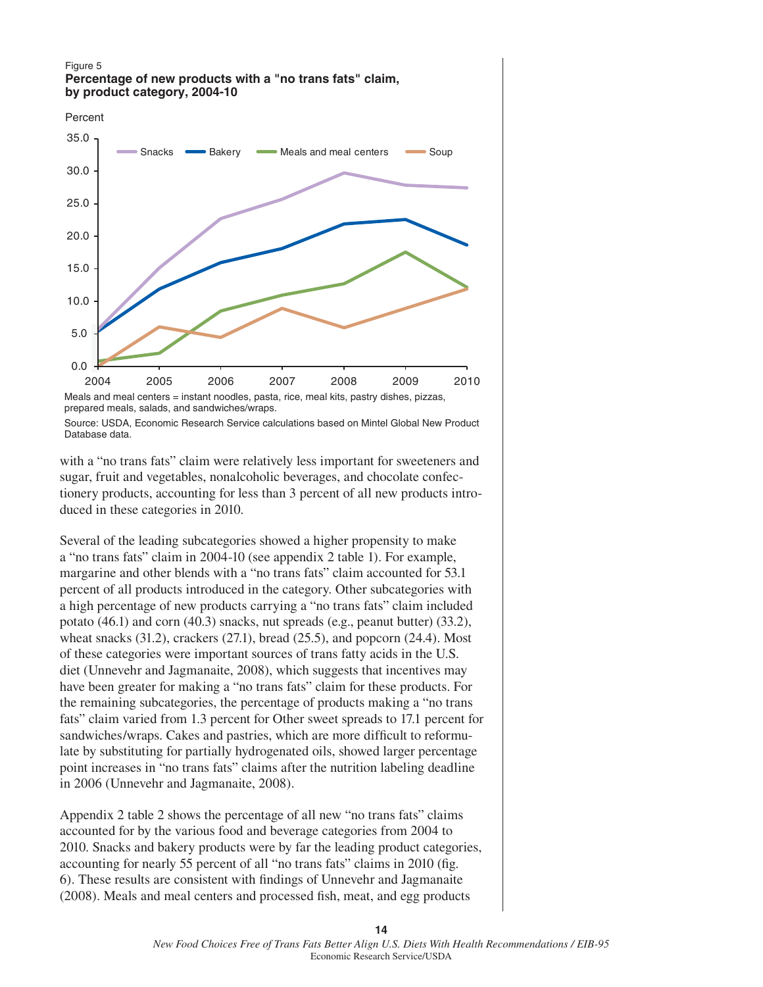#### Figure 5 **Percentage of new products with a "no trans fats" claim, by product category, 2004-10**



Meals and meal centers = instant noodles, pasta, rice, meal kits, pastry dishes, pizzas, prepared meals, salads, and sandwiches/wraps. Source: USDA, Economic Research Service calculations based on Mintel Global New Product Database data.

with a "no trans fats" claim were relatively less important for sweeteners and sugar, fruit and vegetables, nonalcoholic beverages, and chocolate confectionery products, accounting for less than 3 percent of all new products introduced in these categories in 2010.

Several of the leading subcategories showed a higher propensity to make a "no trans fats" claim in 2004-10 (see appendix 2 table 1). For example, margarine and other blends with a "no trans fats" claim accounted for 53.1 percent of all products introduced in the category. Other subcategories with a high percentage of new products carrying a "no trans fats" claim included potato (46.1) and corn (40.3) snacks, nut spreads (e.g., peanut butter) (33.2), wheat snacks  $(31.2)$ , crackers  $(27.1)$ , bread  $(25.5)$ , and popcorn  $(24.4)$ . Most of these categories were important sources of trans fatty acids in the U.S. diet (Unnevehr and Jagmanaite, 2008), which suggests that incentives may have been greater for making a "no trans fats" claim for these products. For the remaining subcategories, the percentage of products making a "no trans fats" claim varied from 1.3 percent for Other sweet spreads to 17.1 percent for sandwiches/wraps. Cakes and pastries, which are more difficult to reformulate by substituting for partially hydrogenated oils, showed larger percentage point increases in "no trans fats" claims after the nutrition labeling deadline in 2006 (Unnevehr and Jagmanaite, 2008).

Appendix 2 table 2 shows the percentage of all new "no trans fats" claims accounted for by the various food and beverage categories from 2004 to 2010. Snacks and bakery products were by far the leading product categories, accounting for nearly 55 percent of all "no trans fats" claims in 2010 (fig. 6). These results are consistent with findings of Unnevehr and Jagmanaite (2008). Meals and meal centers and processed fish, meat, and egg products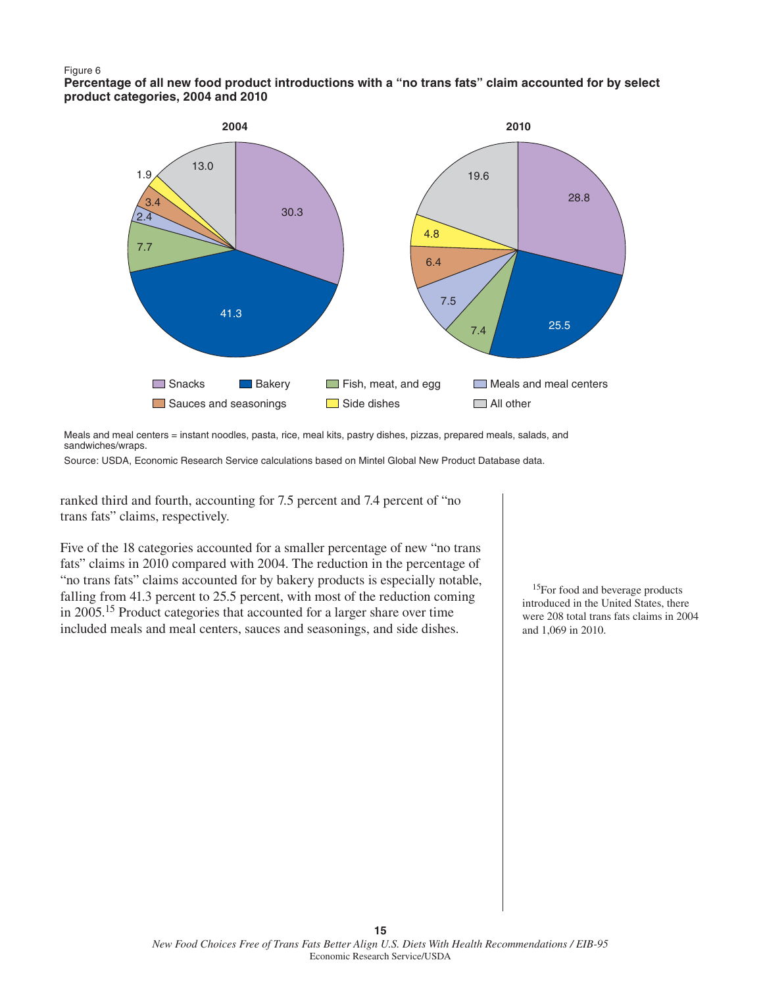#### Figure 6

**Percentage of all new food product introductions with a "no trans fats" claim accounted for by select product categories, 2004 and 2010**



Meals and meal centers = instant noodles, pasta, rice, meal kits, pastry dishes, pizzas, prepared meals, salads, and sandwiches/wraps.

Source: USDA, Economic Research Service calculations based on Mintel Global New Product Database data.

ranked third and fourth, accounting for 7.5 percent and 7.4 percent of "no trans fats" claims, respectively.

Five of the 18 categories accounted for a smaller percentage of new "no trans fats" claims in 2010 compared with 2004. The reduction in the percentage of "no trans fats" claims accounted for by bakery products is especially notable, falling from 41.3 percent to 25.5 percent, with most of the reduction coming in 2005.15 Product categories that accounted for a larger share over time included meals and meal centers, sauces and seasonings, and side dishes.

<sup>15</sup>For food and beverage products introduced in the United States, there were 208 total trans fats claims in 2004 and 1,069 in 2010.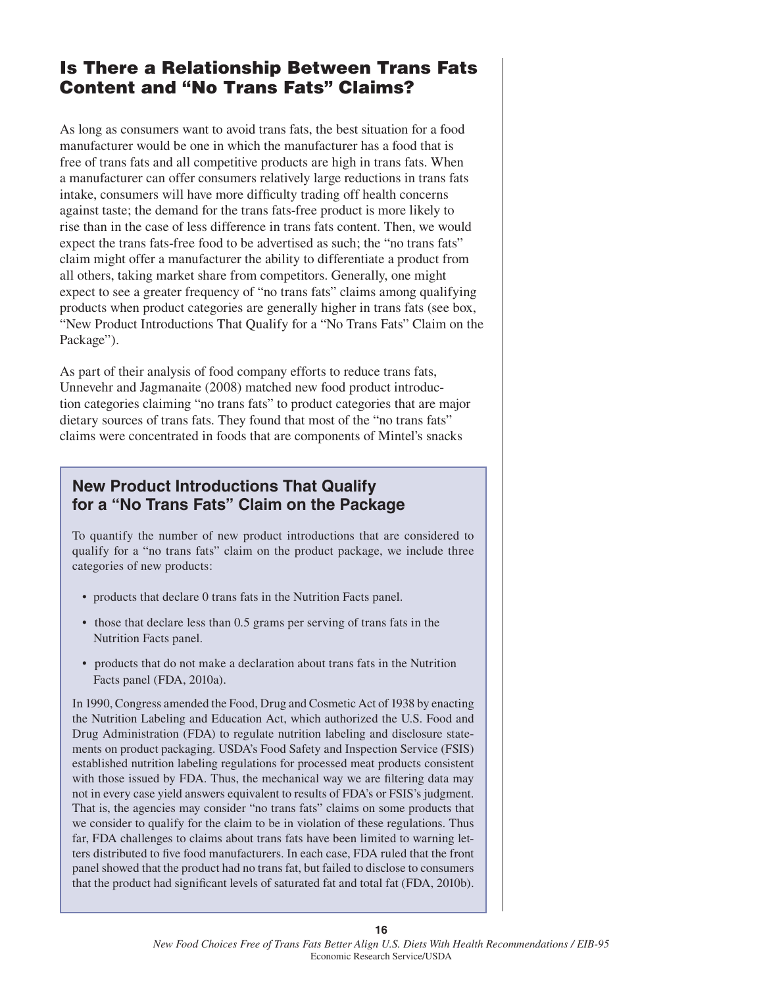# **Is There a Relationship Between Trans Fats Content and "No Trans Fats" Claims?**

As long as consumers want to avoid trans fats, the best situation for a food manufacturer would be one in which the manufacturer has a food that is free of trans fats and all competitive products are high in trans fats. When a manufacturer can offer consumers relatively large reductions in trans fats intake, consumers will have more difficulty trading off health concerns against taste; the demand for the trans fats-free product is more likely to rise than in the case of less difference in trans fats content. Then, we would expect the trans fats-free food to be advertised as such; the "no trans fats" claim might offer a manufacturer the ability to differentiate a product from all others, taking market share from competitors. Generally, one might expect to see a greater frequency of "no trans fats" claims among qualifying products when product categories are generally higher in trans fats (see box, "New Product Introductions That Qualify for a "No Trans Fats" Claim on the Package").

As part of their analysis of food company efforts to reduce trans fats, Unnevehr and Jagmanaite (2008) matched new food product introduction categories claiming "no trans fats" to product categories that are major dietary sources of trans fats. They found that most of the "no trans fats" claims were concentrated in foods that are components of Mintel's snacks

### **New Product Introductions That Qualify for a "No Trans Fats" Claim on the Package**

To quantify the number of new product introductions that are considered to qualify for a "no trans fats" claim on the product package, we include three categories of new products:

- products that declare 0 trans fats in the Nutrition Facts panel.
- those that declare less than 0.5 grams per serving of trans fats in the Nutrition Facts panel.
- products that do not make a declaration about trans fats in the Nutrition Facts panel (FDA, 2010a).

In 1990, Congress amended the Food, Drug and Cosmetic Act of 1938 by enacting the Nutrition Labeling and Education Act, which authorized the U.S. Food and Drug Administration (FDA) to regulate nutrition labeling and disclosure statements on product packaging. USDA's Food Safety and Inspection Service (FSIS) established nutrition labeling regulations for processed meat products consistent with those issued by FDA. Thus, the mechanical way we are filtering data may not in every case yield answers equivalent to results of FDA's or FSIS's judgment. That is, the agencies may consider "no trans fats" claims on some products that we consider to qualify for the claim to be in violation of these regulations. Thus far, FDA challenges to claims about trans fats have been limited to warning letters distributed to five food manufacturers. In each case, FDA ruled that the front panel showed that the product had no trans fat, but failed to disclose to consumers that the product had significant levels of saturated fat and total fat (FDA, 2010b).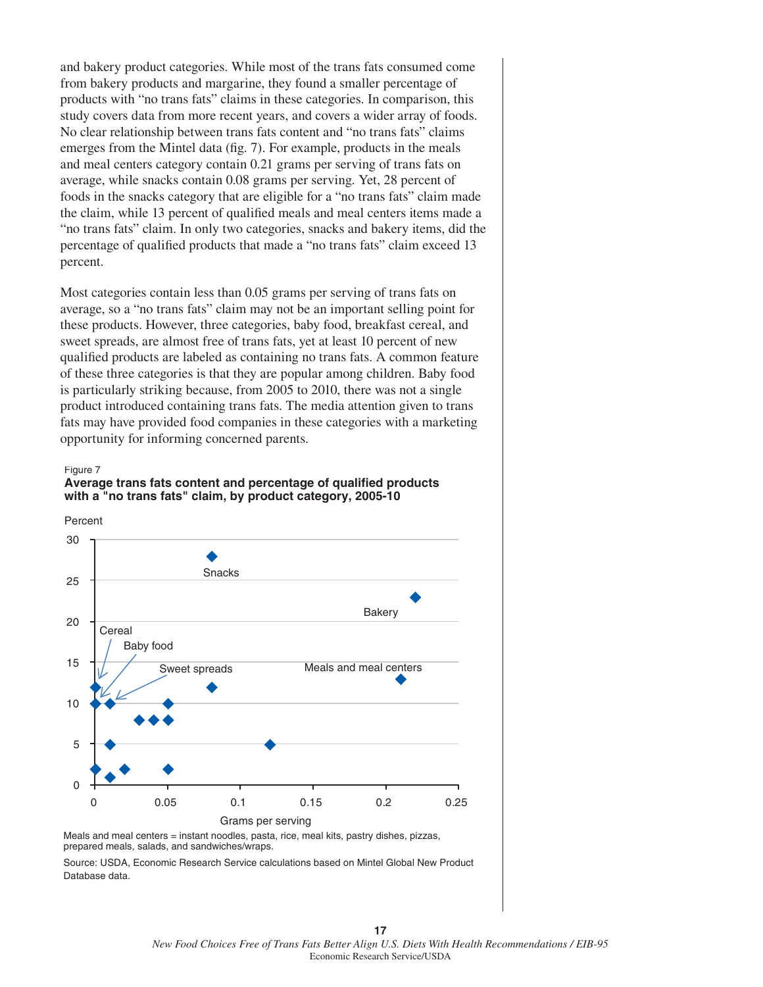and bakery product categories. While most of the trans fats consumed come from bakery products and margarine, they found a smaller percentage of products with "no trans fats" claims in these categories. In comparison, this study covers data from more recent years, and covers a wider array of foods. No clear relationship between trans fats content and "no trans fats" claims emerges from the Mintel data (fig. 7). For example, products in the meals and meal centers category contain 0.21 grams per serving of trans fats on average, while snacks contain 0.08 grams per serving. Yet, 28 percent of foods in the snacks category that are eligible for a "no trans fats" claim made the claim, while 13 percent of qualified meals and meal centers items made a "no trans fats" claim. In only two categories, snacks and bakery items, did the percentage of qualified products that made a "no trans fats" claim exceed 13 percent.

Most categories contain less than 0.05 grams per serving of trans fats on average, so a "no trans fats" claim may not be an important selling point for these products. However, three categories, baby food, breakfast cereal, and sweet spreads, are almost free of trans fats, yet at least 10 percent of new qualified products are labeled as containing no trans fats. A common feature of these three categories is that they are popular among children. Baby food is particularly striking because, from 2005 to 2010, there was not a single product introduced containing trans fats. The media attention given to trans fats may have provided food companies in these categories with a marketing opportunity for informing concerned parents.

#### Figure 7

### **Average trans fats content and percentage of qualified products with a "no trans fats" claim, by product category, 2005-10**



Meals and meal centers = instant noodles, pasta, rice, meal kits, pastry dishes, pizzas, prepared meals, salads, and sandwiches/wraps.

Source: USDA, Economic Research Service calculations based on Mintel Global New Product Database data.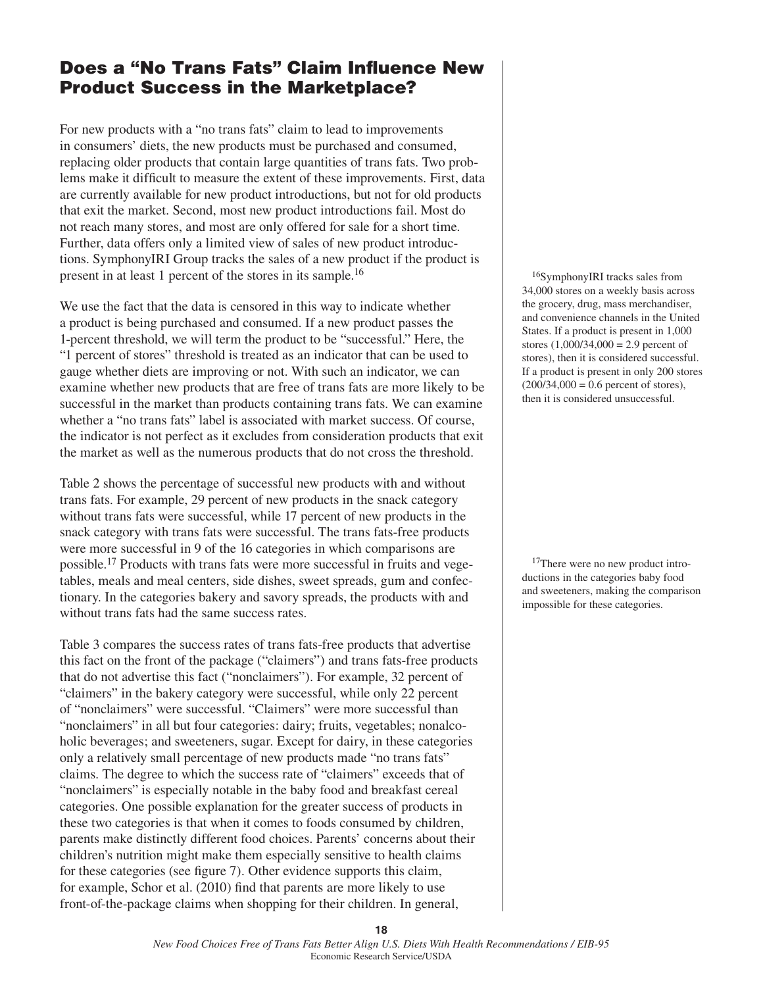# **Does a "No Trans Fats" Claim Influence New Product Success in the Marketplace?**

For new products with a "no trans fats" claim to lead to improvements in consumers' diets, the new products must be purchased and consumed, replacing older products that contain large quantities of trans fats. Two problems make it difficult to measure the extent of these improvements. First, data are currently available for new product introductions, but not for old products that exit the market. Second, most new product introductions fail. Most do not reach many stores, and most are only offered for sale for a short time. Further, data offers only a limited view of sales of new product introductions. SymphonyIRI Group tracks the sales of a new product if the product is present in at least 1 percent of the stores in its sample.<sup>16</sup>

We use the fact that the data is censored in this way to indicate whether a product is being purchased and consumed. If a new product passes the 1-percent threshold, we will term the product to be "successful." Here, the "1 percent of stores" threshold is treated as an indicator that can be used to gauge whether diets are improving or not. With such an indicator, we can examine whether new products that are free of trans fats are more likely to be successful in the market than products containing trans fats. We can examine whether a "no trans fats" label is associated with market success. Of course, the indicator is not perfect as it excludes from consideration products that exit the market as well as the numerous products that do not cross the threshold.

Table 2 shows the percentage of successful new products with and without trans fats. For example, 29 percent of new products in the snack category without trans fats were successful, while 17 percent of new products in the snack category with trans fats were successful. The trans fats-free products were more successful in 9 of the 16 categories in which comparisons are possible.17 Products with trans fats were more successful in fruits and vegetables, meals and meal centers, side dishes, sweet spreads, gum and confectionary. In the categories bakery and savory spreads, the products with and without trans fats had the same success rates.

Table 3 compares the success rates of trans fats-free products that advertise this fact on the front of the package ("claimers") and trans fats-free products that do not advertise this fact ("nonclaimers"). For example, 32 percent of "claimers" in the bakery category were successful, while only 22 percent of "nonclaimers" were successful. "Claimers" were more successful than "nonclaimers" in all but four categories: dairy; fruits, vegetables; nonalcoholic beverages; and sweeteners, sugar. Except for dairy, in these categories only a relatively small percentage of new products made "no trans fats" claims. The degree to which the success rate of "claimers" exceeds that of "nonclaimers" is especially notable in the baby food and breakfast cereal categories. One possible explanation for the greater success of products in these two categories is that when it comes to foods consumed by children, parents make distinctly different food choices. Parents' concerns about their children's nutrition might make them especially sensitive to health claims for these categories (see figure 7). Other evidence supports this claim, for example, Schor et al. (2010) find that parents are more likely to use front-of-the-package claims when shopping for their children. In general,

16SymphonyIRI tracks sales from 34,000 stores on a weekly basis across the grocery, drug, mass merchandiser, and convenience channels in the United States. If a product is present in 1,000 stores  $(1,000/34,000 = 2.9$  percent of stores), then it is considered successful. If a product is present in only 200 stores  $(200/34,000 = 0.6$  percent of stores), then it is considered unsuccessful.

<sup>17</sup>There were no new product introductions in the categories baby food and sweeteners, making the comparison impossible for these categories.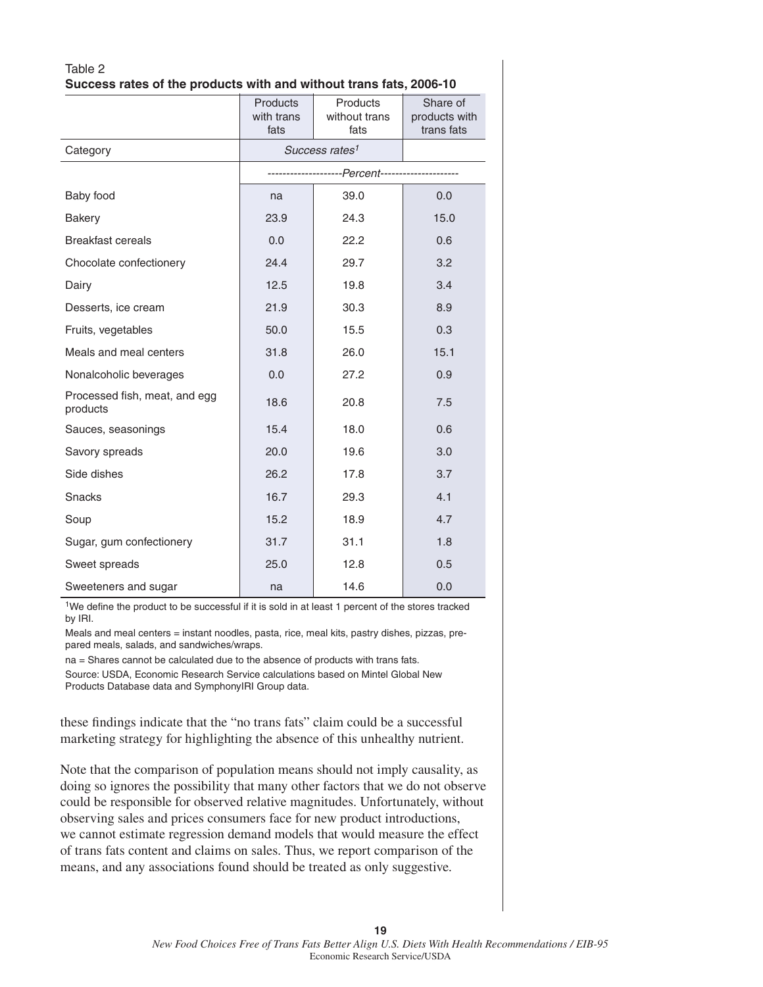| Table 2 |                                                                    |  |  |
|---------|--------------------------------------------------------------------|--|--|
|         | Success rates of the products with and without trans fats, 2006-10 |  |  |

|                                           | <b>Products</b><br>with trans | Products<br>without trans                   | Share of<br>products with |
|-------------------------------------------|-------------------------------|---------------------------------------------|---------------------------|
|                                           | fats                          | trans fats                                  |                           |
| Category                                  |                               | Success rates <sup>1</sup>                  |                           |
|                                           |                               | ---------------Percent--------------------- |                           |
| Baby food                                 | na                            | 39.0                                        | 0.0                       |
| <b>Bakery</b>                             | 23.9                          | 24.3                                        | 15.0                      |
| <b>Breakfast cereals</b>                  | 0.0                           | 22.2                                        | 0.6                       |
| Chocolate confectionery                   | 24.4                          | 29.7                                        | 3.2                       |
| Dairy                                     | 12.5                          | 19.8                                        | 3.4                       |
| Desserts, ice cream                       | 21.9                          | 30.3                                        | 8.9                       |
| Fruits, vegetables                        | 50.0                          | 15.5                                        | 0.3                       |
| Meals and meal centers                    | 31.8                          | 26.0                                        | 15.1                      |
| Nonalcoholic beverages                    | 0.0                           | 27.2                                        | 0.9                       |
| Processed fish, meat, and egg<br>products | 18.6                          | 20.8                                        | 7.5                       |
| Sauces, seasonings                        | 15.4                          | 18.0                                        | 0.6                       |
| Savory spreads                            | 20.0                          | 19.6                                        | 3.0                       |
| Side dishes                               | 26.2                          | 17.8                                        | 3.7                       |
| <b>Snacks</b>                             | 16.7                          | 29.3                                        | 4.1                       |
| Soup                                      | 15.2                          | 18.9                                        | 4.7                       |
| Sugar, gum confectionery                  | 31.7                          | 31.1                                        | 1.8                       |
| Sweet spreads                             | 25.0                          | 12.8                                        | 0.5                       |
| Sweeteners and sugar                      | na                            | 14.6                                        | 0.0                       |

<sup>1</sup>We define the product to be successful if it is sold in at least 1 percent of the stores tracked by IRI.

Meals and meal centers = instant noodles, pasta, rice, meal kits, pastry dishes, pizzas, prepared meals, salads, and sandwiches/wraps.

na = Shares cannot be calculated due to the absence of products with trans fats. Source: USDA, Economic Research Service calculations based on Mintel Global New Products Database data and SymphonyIRI Group data.

these findings indicate that the "no trans fats" claim could be a successful marketing strategy for highlighting the absence of this unhealthy nutrient.

Note that the comparison of population means should not imply causality, as doing so ignores the possibility that many other factors that we do not observe could be responsible for observed relative magnitudes. Unfortunately, without observing sales and prices consumers face for new product introductions, we cannot estimate regression demand models that would measure the effect of trans fats content and claims on sales. Thus, we report comparison of the means, and any associations found should be treated as only suggestive.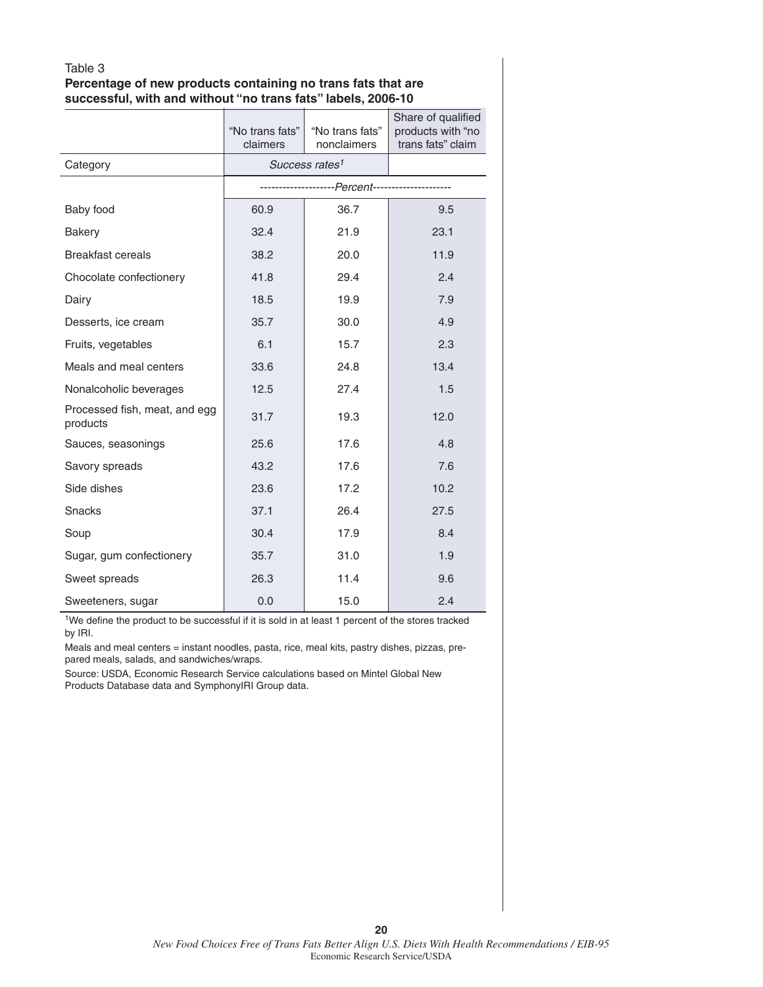### Table 3 **Percentage of new products containing no trans fats that are successful, with and without "no trans fats" labels, 2006-10**

|                                           | "No trans fats"<br>claimers | "No trans fats"<br>nonclaimers                  | Share of qualified<br>products with "no<br>trans fats" claim |
|-------------------------------------------|-----------------------------|-------------------------------------------------|--------------------------------------------------------------|
| Category                                  |                             | Success rates <sup>1</sup>                      |                                                              |
|                                           |                             | --------------------Percent-------------------- |                                                              |
| Baby food                                 | 60.9                        | 36.7                                            | 9.5                                                          |
| <b>Bakery</b>                             | 32.4                        | 21.9                                            | 23.1                                                         |
| <b>Breakfast cereals</b>                  | 38.2                        | 20.0                                            | 11.9                                                         |
| Chocolate confectionery                   | 41.8                        | 29.4                                            | 2.4                                                          |
| Dairy                                     | 18.5                        | 19.9                                            | 7.9                                                          |
| Desserts, ice cream                       | 35.7                        | 30.0                                            | 4.9                                                          |
| Fruits, vegetables                        | 6.1                         | 15.7                                            | 2.3                                                          |
| Meals and meal centers                    | 33.6                        | 24.8                                            | 13.4                                                         |
| Nonalcoholic beverages                    | 12.5                        | 27.4                                            | 1.5                                                          |
| Processed fish, meat, and egg<br>products | 31.7                        | 19.3                                            | 12.0                                                         |
| Sauces, seasonings                        | 25.6                        | 17.6                                            | 4.8                                                          |
| Savory spreads                            | 43.2                        | 17.6                                            | 7.6                                                          |
| Side dishes                               | 23.6                        | 17.2                                            | 10.2                                                         |
| <b>Snacks</b>                             | 37.1                        | 26.4                                            | 27.5                                                         |
| Soup                                      | 30.4                        | 17.9                                            | 8.4                                                          |
| Sugar, gum confectionery                  | 35.7                        | 31.0                                            | 1.9                                                          |
| Sweet spreads                             | 26.3                        | 11.4                                            | 9.6                                                          |
| Sweeteners, sugar                         | 0.0                         | 15.0                                            | 2.4                                                          |

 $1$ We define the product to be successful if it is sold in at least 1 percent of the stores tracked by IRI.

Meals and meal centers = instant noodles, pasta, rice, meal kits, pastry dishes, pizzas, prepared meals, salads, and sandwiches/wraps.

Source: USDA, Economic Research Service calculations based on Mintel Global New Products Database data and SymphonyIRI Group data.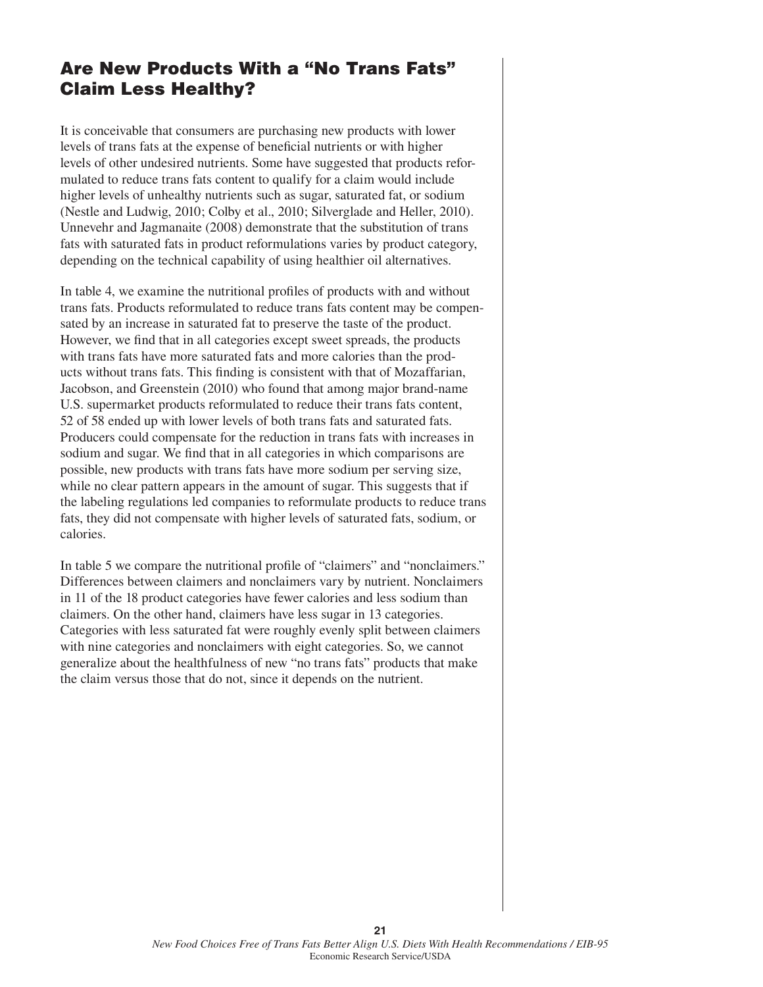### **Are New Products With a "No Trans Fats" Claim Less Healthy?**

It is conceivable that consumers are purchasing new products with lower levels of trans fats at the expense of beneficial nutrients or with higher levels of other undesired nutrients. Some have suggested that products reformulated to reduce trans fats content to qualify for a claim would include higher levels of unhealthy nutrients such as sugar, saturated fat, or sodium (Nestle and Ludwig, 2010; Colby et al., 2010; Silverglade and Heller, 2010). Unnevehr and Jagmanaite (2008) demonstrate that the substitution of trans fats with saturated fats in product reformulations varies by product category, depending on the technical capability of using healthier oil alternatives.

In table 4, we examine the nutritional profiles of products with and without trans fats. Products reformulated to reduce trans fats content may be compensated by an increase in saturated fat to preserve the taste of the product. However, we find that in all categories except sweet spreads, the products with trans fats have more saturated fats and more calories than the products without trans fats. This finding is consistent with that of Mozaffarian, Jacobson, and Greenstein (2010) who found that among major brand-name U.S. supermarket products reformulated to reduce their trans fats content, 52 of 58 ended up with lower levels of both trans fats and saturated fats. Producers could compensate for the reduction in trans fats with increases in sodium and sugar. We find that in all categories in which comparisons are possible, new products with trans fats have more sodium per serving size, while no clear pattern appears in the amount of sugar. This suggests that if the labeling regulations led companies to reformulate products to reduce trans fats, they did not compensate with higher levels of saturated fats, sodium, or calories.

In table 5 we compare the nutritional profile of "claimers" and "nonclaimers." Differences between claimers and nonclaimers vary by nutrient. Nonclaimers in 11 of the 18 product categories have fewer calories and less sodium than claimers. On the other hand, claimers have less sugar in 13 categories. Categories with less saturated fat were roughly evenly split between claimers with nine categories and nonclaimers with eight categories. So, we cannot generalize about the healthfulness of new "no trans fats" products that make the claim versus those that do not, since it depends on the nutrient.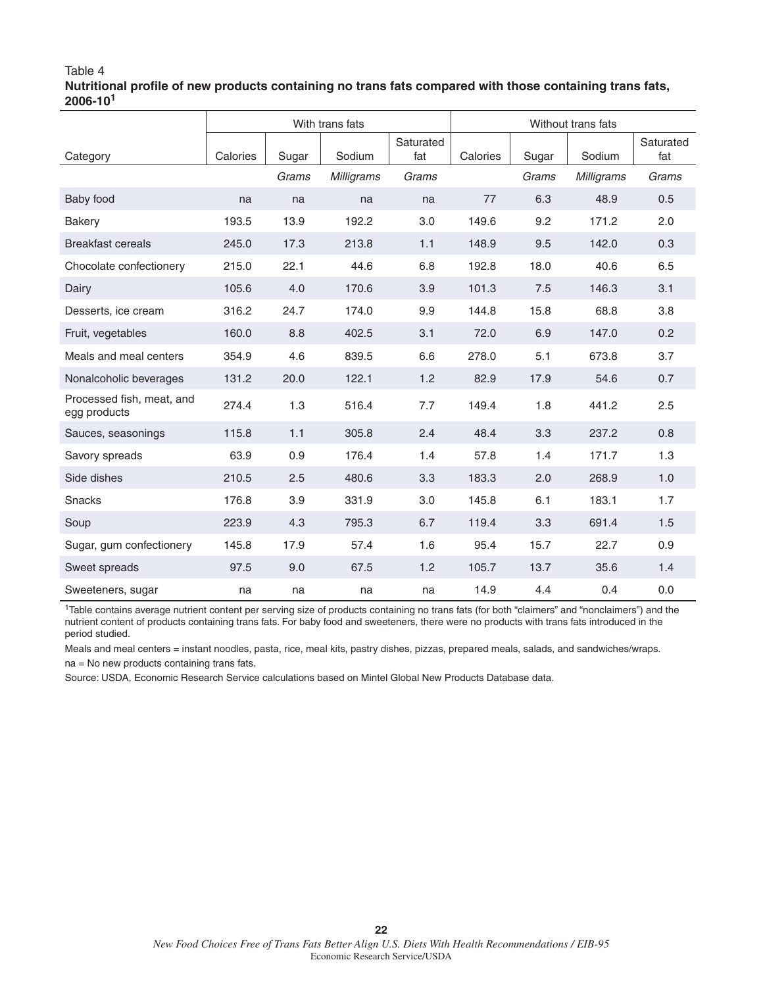### Table 4 Nutritional profile of new products containing no trans fats compared with those containing trans fats, **2006-101**

|                                           | With trans fats |       |                   | Without trans fats |          |       |            |                  |
|-------------------------------------------|-----------------|-------|-------------------|--------------------|----------|-------|------------|------------------|
| Category                                  | Calories        | Sugar | Sodium            | Saturated<br>fat   | Calories | Sugar | Sodium     | Saturated<br>fat |
|                                           |                 | Grams | <b>Milligrams</b> | Grams              |          | Grams | Milligrams | Grams            |
| Baby food                                 | na              | na    | na                | na                 | 77       | 6.3   | 48.9       | 0.5              |
| Bakery                                    | 193.5           | 13.9  | 192.2             | 3.0                | 149.6    | 9.2   | 171.2      | 2.0              |
| <b>Breakfast cereals</b>                  | 245.0           | 17.3  | 213.8             | 1.1                | 148.9    | 9.5   | 142.0      | 0.3              |
| Chocolate confectionery                   | 215.0           | 22.1  | 44.6              | 6.8                | 192.8    | 18.0  | 40.6       | 6.5              |
| Dairy                                     | 105.6           | 4.0   | 170.6             | 3.9                | 101.3    | 7.5   | 146.3      | 3.1              |
| Desserts, ice cream                       | 316.2           | 24.7  | 174.0             | 9.9                | 144.8    | 15.8  | 68.8       | 3.8              |
| Fruit, vegetables                         | 160.0           | 8.8   | 402.5             | 3.1                | 72.0     | 6.9   | 147.0      | 0.2              |
| Meals and meal centers                    | 354.9           | 4.6   | 839.5             | 6.6                | 278.0    | 5.1   | 673.8      | 3.7              |
| Nonalcoholic beverages                    | 131.2           | 20.0  | 122.1             | 1.2                | 82.9     | 17.9  | 54.6       | 0.7              |
| Processed fish, meat, and<br>egg products | 274.4           | 1.3   | 516.4             | 7.7                | 149.4    | 1.8   | 441.2      | 2.5              |
| Sauces, seasonings                        | 115.8           | 1.1   | 305.8             | 2.4                | 48.4     | 3.3   | 237.2      | 0.8              |
| Savory spreads                            | 63.9            | 0.9   | 176.4             | 1.4                | 57.8     | 1.4   | 171.7      | 1.3              |
| Side dishes                               | 210.5           | 2.5   | 480.6             | 3.3                | 183.3    | 2.0   | 268.9      | 1.0              |
| Snacks                                    | 176.8           | 3.9   | 331.9             | 3.0                | 145.8    | 6.1   | 183.1      | 1.7              |
| Soup                                      | 223.9           | 4.3   | 795.3             | 6.7                | 119.4    | 3.3   | 691.4      | 1.5              |
| Sugar, gum confectionery                  | 145.8           | 17.9  | 57.4              | 1.6                | 95.4     | 15.7  | 22.7       | 0.9              |
| Sweet spreads                             | 97.5            | 9.0   | 67.5              | 1.2                | 105.7    | 13.7  | 35.6       | 1.4              |
| Sweeteners, sugar                         | na              | na    | na                | na                 | 14.9     | 4.4   | 0.4        | 0.0              |

<sup>1</sup>Table contains average nutrient content per serving size of products containing no trans fats (for both "claimers" and "nonclaimers") and the nutrient content of products containing trans fats. For baby food and sweeteners, there were no products with trans fats introduced in the period studied.

Meals and meal centers = instant noodles, pasta, rice, meal kits, pastry dishes, pizzas, prepared meals, salads, and sandwiches/wraps. na = No new products containing trans fats.

Source: USDA, Economic Research Service calculations based on Mintel Global New Products Database data.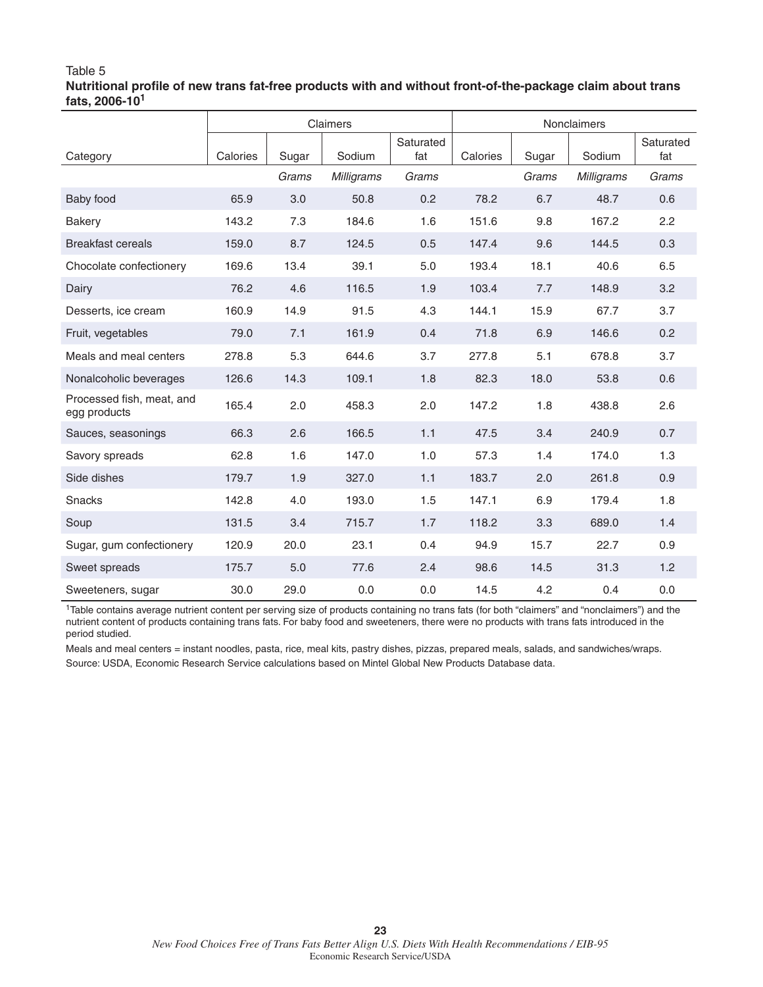### Table 5 Nutritional profile of new trans fat-free products with and without front-of-the-package claim about trans **fats, 2006-10<sup>1</sup>**

|                                           | Claimers |       |                   |                  | <b>Nonclaimers</b> |       |            |                  |  |
|-------------------------------------------|----------|-------|-------------------|------------------|--------------------|-------|------------|------------------|--|
| Category                                  | Calories | Sugar | Sodium            | Saturated<br>fat | Calories           | Sugar | Sodium     | Saturated<br>fat |  |
|                                           |          | Grams | <b>Milligrams</b> | Grams            |                    | Grams | Milligrams | Grams            |  |
| Baby food                                 | 65.9     | 3.0   | 50.8              | 0.2              | 78.2               | 6.7   | 48.7       | 0.6              |  |
| <b>Bakery</b>                             | 143.2    | 7.3   | 184.6             | 1.6              | 151.6              | 9.8   | 167.2      | 2.2              |  |
| <b>Breakfast cereals</b>                  | 159.0    | 8.7   | 124.5             | 0.5              | 147.4              | 9.6   | 144.5      | 0.3              |  |
| Chocolate confectionery                   | 169.6    | 13.4  | 39.1              | 5.0              | 193.4              | 18.1  | 40.6       | 6.5              |  |
| Dairy                                     | 76.2     | 4.6   | 116.5             | 1.9              | 103.4              | 7.7   | 148.9      | 3.2              |  |
| Desserts, ice cream                       | 160.9    | 14.9  | 91.5              | 4.3              | 144.1              | 15.9  | 67.7       | 3.7              |  |
| Fruit, vegetables                         | 79.0     | 7.1   | 161.9             | 0.4              | 71.8               | 6.9   | 146.6      | 0.2              |  |
| Meals and meal centers                    | 278.8    | 5.3   | 644.6             | 3.7              | 277.8              | 5.1   | 678.8      | 3.7              |  |
| Nonalcoholic beverages                    | 126.6    | 14.3  | 109.1             | 1.8              | 82.3               | 18.0  | 53.8       | 0.6              |  |
| Processed fish, meat, and<br>egg products | 165.4    | 2.0   | 458.3             | 2.0              | 147.2              | 1.8   | 438.8      | 2.6              |  |
| Sauces, seasonings                        | 66.3     | 2.6   | 166.5             | 1.1              | 47.5               | 3.4   | 240.9      | 0.7              |  |
| Savory spreads                            | 62.8     | 1.6   | 147.0             | 1.0              | 57.3               | 1.4   | 174.0      | 1.3              |  |
| Side dishes                               | 179.7    | 1.9   | 327.0             | 1.1              | 183.7              | 2.0   | 261.8      | 0.9              |  |
| <b>Snacks</b>                             | 142.8    | 4.0   | 193.0             | 1.5              | 147.1              | 6.9   | 179.4      | 1.8              |  |
| Soup                                      | 131.5    | 3.4   | 715.7             | 1.7              | 118.2              | 3.3   | 689.0      | 1.4              |  |
| Sugar, gum confectionery                  | 120.9    | 20.0  | 23.1              | 0.4              | 94.9               | 15.7  | 22.7       | 0.9              |  |
| Sweet spreads                             | 175.7    | 5.0   | 77.6              | 2.4              | 98.6               | 14.5  | 31.3       | 1.2              |  |
| Sweeteners, sugar                         | 30.0     | 29.0  | 0.0               | 0.0              | 14.5               | 4.2   | 0.4        | 0.0              |  |

<sup>1</sup>Table contains average nutrient content per serving size of products containing no trans fats (for both "claimers" and "nonclaimers") and the nutrient content of products containing trans fats. For baby food and sweeteners, there were no products with trans fats introduced in the period studied.

Meals and meal centers = instant noodles, pasta, rice, meal kits, pastry dishes, pizzas, prepared meals, salads, and sandwiches/wraps. Source: USDA, Economic Research Service calculations based on Mintel Global New Products Database data.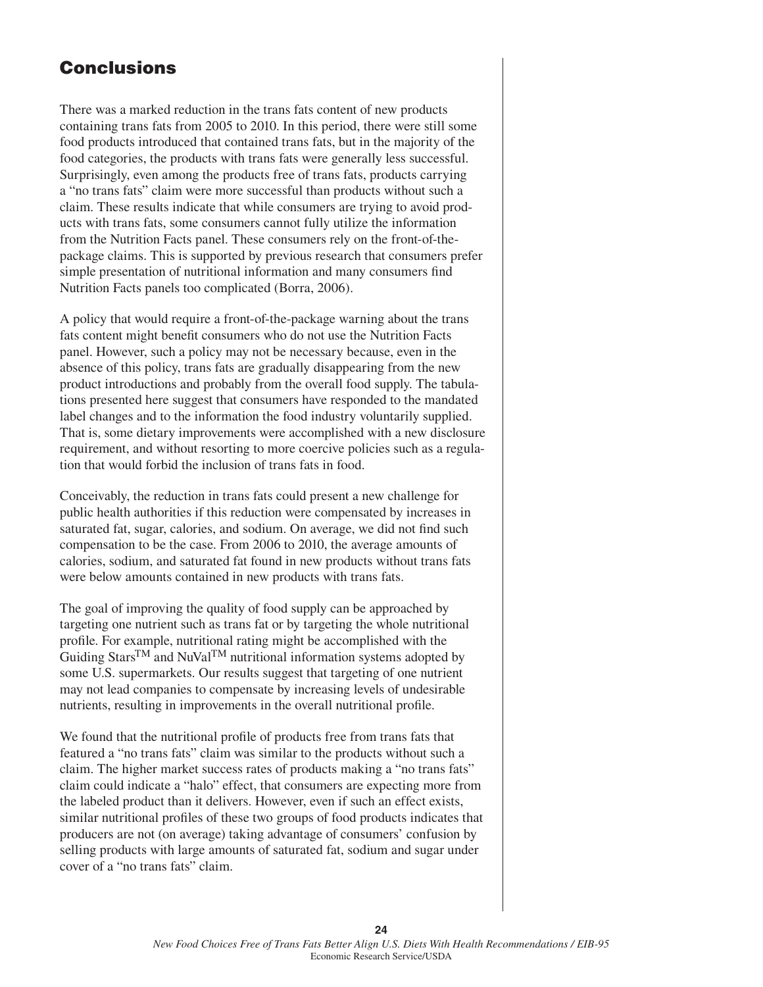# **Conclusions**

There was a marked reduction in the trans fats content of new products containing trans fats from 2005 to 2010. In this period, there were still some food products introduced that contained trans fats, but in the majority of the food categories, the products with trans fats were generally less successful. Surprisingly, even among the products free of trans fats, products carrying a "no trans fats" claim were more successful than products without such a claim. These results indicate that while consumers are trying to avoid products with trans fats, some consumers cannot fully utilize the information from the Nutrition Facts panel. These consumers rely on the front-of-thepackage claims. This is supported by previous research that consumers prefer simple presentation of nutritional information and many consumers find Nutrition Facts panels too complicated (Borra, 2006).

A policy that would require a front-of-the-package warning about the trans fats content might benefit consumers who do not use the Nutrition Facts panel. However, such a policy may not be necessary because, even in the absence of this policy, trans fats are gradually disappearing from the new product introductions and probably from the overall food supply. The tabulations presented here suggest that consumers have responded to the mandated label changes and to the information the food industry voluntarily supplied. That is, some dietary improvements were accomplished with a new disclosure requirement, and without resorting to more coercive policies such as a regulation that would forbid the inclusion of trans fats in food.

Conceivably, the reduction in trans fats could present a new challenge for public health authorities if this reduction were compensated by increases in saturated fat, sugar, calories, and sodium. On average, we did not find such compensation to be the case. From 2006 to 2010, the average amounts of calories, sodium, and saturated fat found in new products without trans fats were below amounts contained in new products with trans fats.

The goal of improving the quality of food supply can be approached by targeting one nutrient such as trans fat or by targeting the whole nutritional profile. For example, nutritional rating might be accomplished with the Guiding Stars<sup>TM</sup> and NuVal<sup>TM</sup> nutritional information systems adopted by some U.S. supermarkets. Our results suggest that targeting of one nutrient may not lead companies to compensate by increasing levels of undesirable nutrients, resulting in improvements in the overall nutritional profile.

We found that the nutritional profile of products free from trans fats that featured a "no trans fats" claim was similar to the products without such a claim. The higher market success rates of products making a "no trans fats" claim could indicate a "halo" effect, that consumers are expecting more from the labeled product than it delivers. However, even if such an effect exists, similar nutritional profiles of these two groups of food products indicates that producers are not (on average) taking advantage of consumers' confusion by selling products with large amounts of saturated fat, sodium and sugar under cover of a "no trans fats" claim.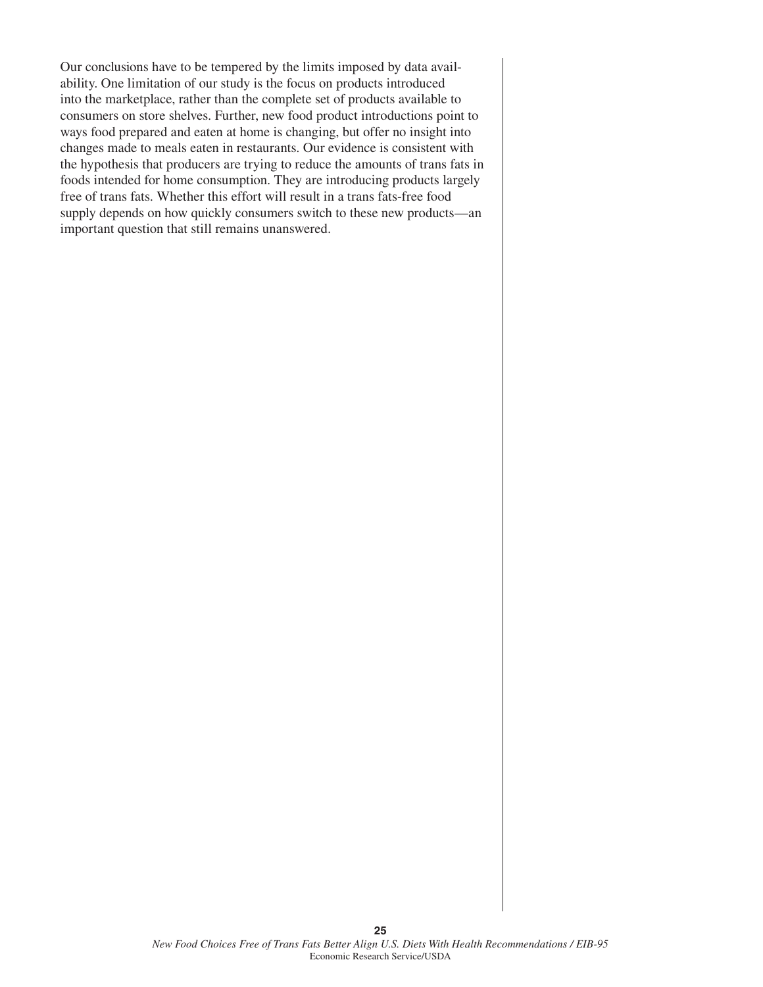Our conclusions have to be tempered by the limits imposed by data availability. One limitation of our study is the focus on products introduced into the marketplace, rather than the complete set of products available to consumers on store shelves. Further, new food product introductions point to ways food prepared and eaten at home is changing, but offer no insight into changes made to meals eaten in restaurants. Our evidence is consistent with the hypothesis that producers are trying to reduce the amounts of trans fats in foods intended for home consumption. They are introducing products largely free of trans fats. Whether this effort will result in a trans fats-free food supply depends on how quickly consumers switch to these new products—an important question that still remains unanswered.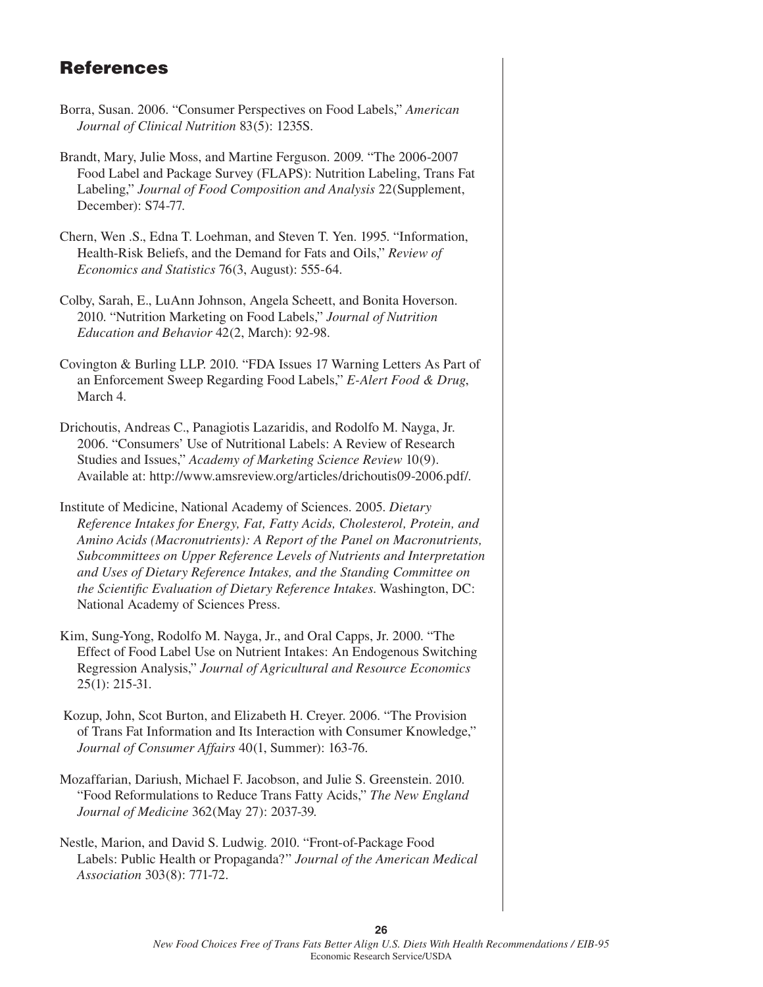# **References**

- Borra, Susan. 2006. "Consumer Perspectives on Food Labels," *American Journal of Clinical Nutrition* 83(5): 1235S.
- Brandt, Mary, Julie Moss, and Martine Ferguson. 2009. "The 2006-2007 Food Label and Package Survey (FLAPS): Nutrition Labeling, Trans Fat Labeling," *Journal of Food Composition and Analysis* 22(Supplement, December): S74-77.
- Chern, Wen .S., Edna T. Loehman, and Steven T. Yen. 1995. "Information, Health-Risk Beliefs, and the Demand for Fats and Oils," *Review of Economics and Statistics* 76(3, August): 555-64.
- Colby, Sarah, E., LuAnn Johnson, Angela Scheett, and Bonita Hoverson. 2010. "Nutrition Marketing on Food Labels," *Journal of Nutrition Education and Behavior* 42(2, March): 92-98.
- Covington & Burling LLP. 2010. "FDA Issues 17 Warning Letters As Part of an Enforcement Sweep Regarding Food Labels," *E-Alert Food & Drug*, March 4.
- Drichoutis, Andreas C., Panagiotis Lazaridis, and Rodolfo M. Nayga, Jr. 2006. "Consumers' Use of Nutritional Labels: A Review of Research Studies and Issues," *Academy of Marketing Science Review* 10(9). Available at: http://www.amsreview.org/articles/drichoutis09-2006.pdf/.
- Institute of Medicine, National Academy of Sciences. 2005. *Dietary Reference Intakes for Energy, Fat, Fatty Acids, Cholesterol, Protein, and Amino Acids (Macronutrients): A Report of the Panel on Macronutrients, Subcommittees on Upper Reference Levels of Nutrients and Interpretation and Uses of Dietary Reference Intakes, and the Standing Committee on the Scientific Evaluation of Dietary Reference Intakes. Washington, DC:* National Academy of Sciences Press.
- Kim, Sung-Yong, Rodolfo M. Nayga, Jr., and Oral Capps, Jr. 2000. "The Effect of Food Label Use on Nutrient Intakes: An Endogenous Switching Regression Analysis," *Journal of Agricultural and Resource Economics* 25(1): 215-31.
- Kozup, John, Scot Burton, and Elizabeth H. Creyer. 2006. "The Provision of Trans Fat Information and Its Interaction with Consumer Knowledge," *Journal of Consumer Affairs* 40(1, Summer): 163-76.
- Mozaffarian, Dariush, Michael F. Jacobson, and Julie S. Greenstein. 2010. "Food Reformulations to Reduce Trans Fatty Acids," *The New England Journal of Medicine* 362(May 27): 2037-39.
- Nestle, Marion, and David S. Ludwig. 2010. "Front-of-Package Food Labels: Public Health or Propaganda?" *Journal of the American Medical Association* 303(8): 771-72.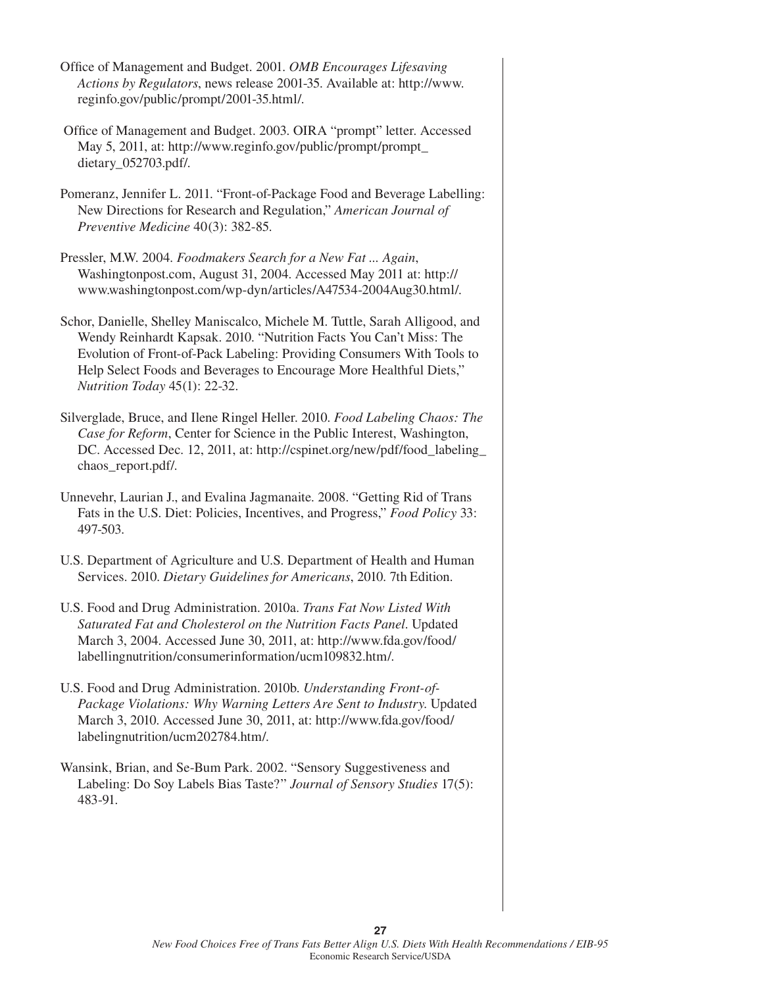- Office of Management and Budget. 2001. *OMB Encourages Lifesaving Actions by Regulators*, news release 2001-35. Available at: http://www. reginfo.gov/public/prompt/2001-35.html/.
- Office of Management and Budget. 2003. OIRA "prompt" letter. Accessed May 5, 2011, at: http://www.reginfo.gov/public/prompt/prompt\_ dietary\_052703.pdf/.
- Pomeranz, Jennifer L. 2011. "Front-of-Package Food and Beverage Labelling: New Directions for Research and Regulation," *American Journal of Preventive Medicine* 40(3): 382-85.
- Pressler, M.W. 2004. *Foodmakers Search for a New Fat ... Again*, Washingtonpost.com, August 31, 2004. Accessed May 2011 at: http:// www.washingtonpost.com/wp-dyn/articles/A47534-2004Aug30.html/.
- Schor, Danielle, Shelley Maniscalco, Michele M. Tuttle, Sarah Alligood, and Wendy Reinhardt Kapsak. 2010. "Nutrition Facts You Can't Miss: The Evolution of Front-of-Pack Labeling: Providing Consumers With Tools to Help Select Foods and Beverages to Encourage More Healthful Diets," *Nutrition Today* 45(1): 22-32.
- Silverglade, Bruce, and Ilene Ringel Heller. 2010. *Food Labeling Chaos: The Case for Reform*, Center for Science in the Public Interest, Washington, DC. Accessed Dec. 12, 2011, at: http://cspinet.org/new/pdf/food labeling chaos\_report.pdf/.
- Unnevehr, Laurian J., and Evalina Jagmanaite. 2008. "Getting Rid of Trans Fats in the U.S. Diet: Policies, Incentives, and Progress," *Food Policy* 33: 497-503.
- U.S. Department of Agriculture and U.S. Department of Health and Human Services. 2010. *Dietary Guidelines for Americans*, 2010. 7th Edition.
- U.S. Food and Drug Administration. 2010a. *Trans Fat Now Listed With Saturated Fat and Cholesterol on the Nutrition Facts Panel*. Updated March 3, 2004. Accessed June 30, 2011, at: http://www.fda.gov/food/ labellingnutrition/consumerinformation/ucm109832.htm/.
- U.S. Food and Drug Administration. 2010b. *Understanding Front-of-Package Violations: Why Warning Letters Are Sent to Industry*. Updated March 3, 2010. Accessed June 30, 2011, at: http://www.fda.gov/food/ labelingnutrition/ucm202784.htm/.
- Wansink, Brian, and Se-Bum Park. 2002. "Sensory Suggestiveness and Labeling: Do Soy Labels Bias Taste?" *Journal of Sensory Studies* 17(5): 483-91.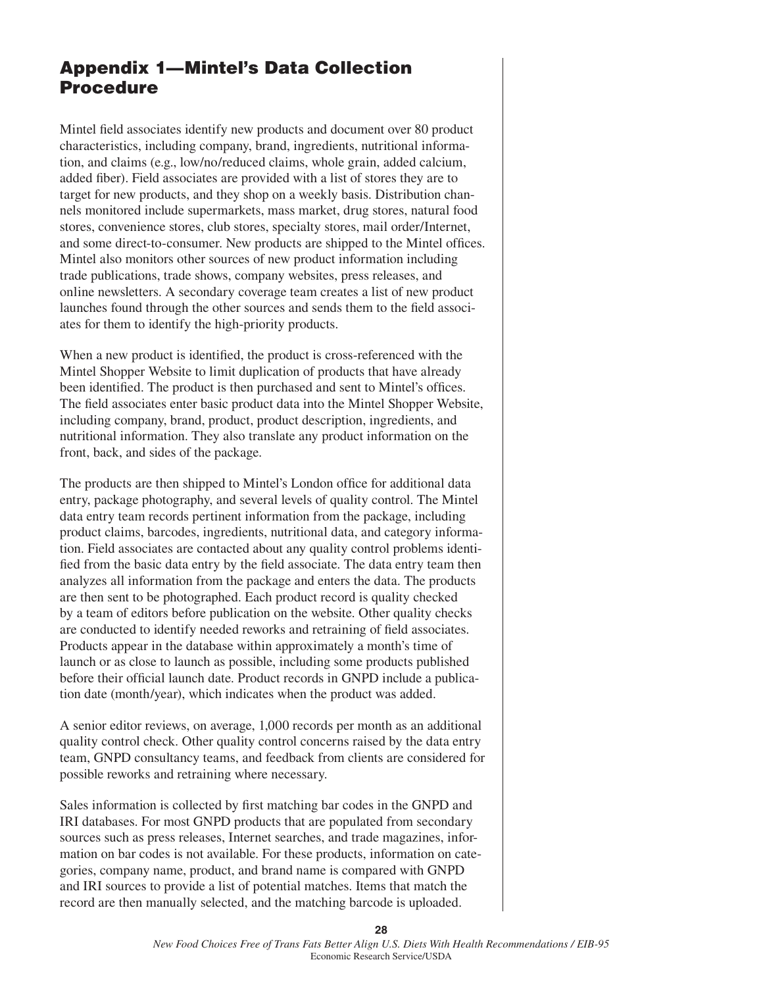# **Appendix 1—Mintel's Data Collection Procedure**

Mintel field associates identify new products and document over 80 product characteristics, including company, brand, ingredients, nutritional information, and claims (e.g., low/no/reduced claims, whole grain, added calcium, added fiber). Field associates are provided with a list of stores they are to target for new products, and they shop on a weekly basis. Distribution channels monitored include supermarkets, mass market, drug stores, natural food stores, convenience stores, club stores, specialty stores, mail order/Internet, and some direct-to-consumer. New products are shipped to the Mintel offices. Mintel also monitors other sources of new product information including trade publications, trade shows, company websites, press releases, and online newsletters. A secondary coverage team creates a list of new product launches found through the other sources and sends them to the field associates for them to identify the high-priority products.

When a new product is identified, the product is cross-referenced with the Mintel Shopper Website to limit duplication of products that have already been identified. The product is then purchased and sent to Mintel's offices. The field associates enter basic product data into the Mintel Shopper Website, including company, brand, product, product description, ingredients, and nutritional information. They also translate any product information on the front, back, and sides of the package.

The products are then shipped to Mintel's London office for additional data entry, package photography, and several levels of quality control. The Mintel data entry team records pertinent information from the package, including product claims, barcodes, ingredients, nutritional data, and category information. Field associates are contacted about any quality control problems identified from the basic data entry by the field associate. The data entry team then analyzes all information from the package and enters the data. The products are then sent to be photographed. Each product record is quality checked by a team of editors before publication on the website. Other quality checks are conducted to identify needed reworks and retraining of field associates. Products appear in the database within approximately a month's time of launch or as close to launch as possible, including some products published before their official launch date. Product records in GNPD include a publication date (month/year), which indicates when the product was added.

A senior editor reviews, on average, 1,000 records per month as an additional quality control check. Other quality control concerns raised by the data entry team, GNPD consultancy teams, and feedback from clients are considered for possible reworks and retraining where necessary.

Sales information is collected by first matching bar codes in the GNPD and IRI databases. For most GNPD products that are populated from secondary sources such as press releases, Internet searches, and trade magazines, information on bar codes is not available. For these products, information on categories, company name, product, and brand name is compared with GNPD and IRI sources to provide a list of potential matches. Items that match the record are then manually selected, and the matching barcode is uploaded.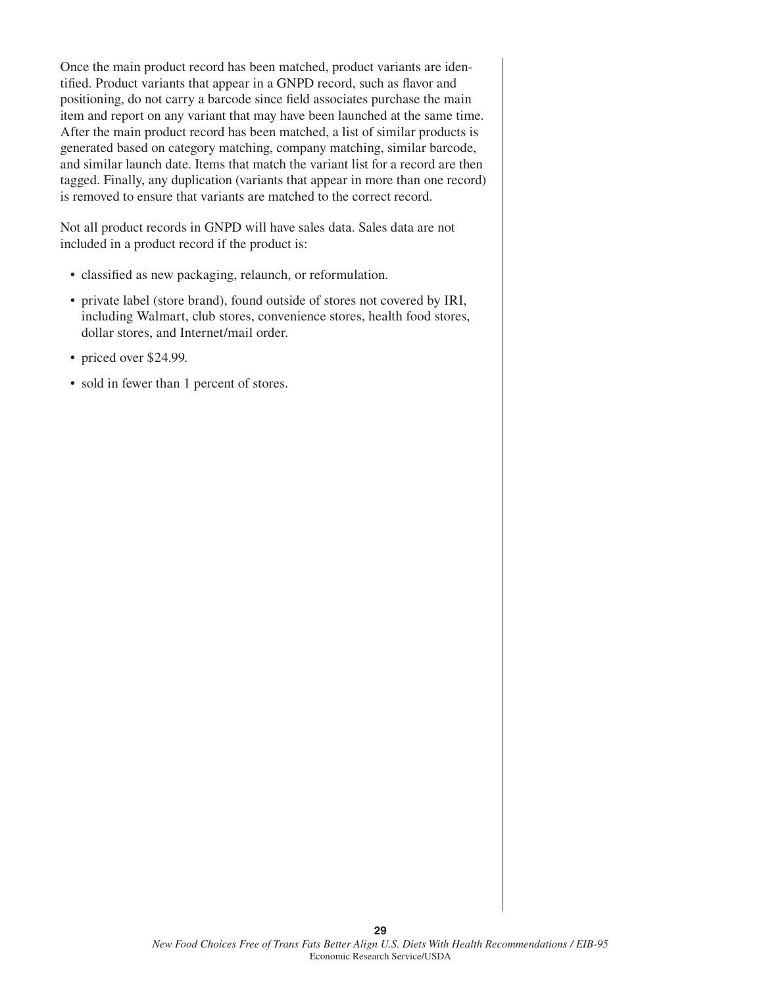Once the main product record has been matched, product variants are identified. Product variants that appear in a GNPD record, such as flavor and positioning, do not carry a barcode since field associates purchase the main item and report on any variant that may have been launched at the same time. After the main product record has been matched, a list of similar products is generated based on category matching, company matching, similar barcode, and similar launch date. Items that match the variant list for a record are then tagged. Finally, any duplication (variants that appear in more than one record) is removed to ensure that variants are matched to the correct record.

Not all product records in GNPD will have sales data. Sales data are not included in a product record if the product is:

- classified as new packaging, relaunch, or reformulation.
- private label (store brand), found outside of stores not covered by IRI, including Walmart, club stores, convenience stores, health food stores, dollar stores, and Internet/mail order.
- priced over \$24.99.
- sold in fewer than 1 percent of stores.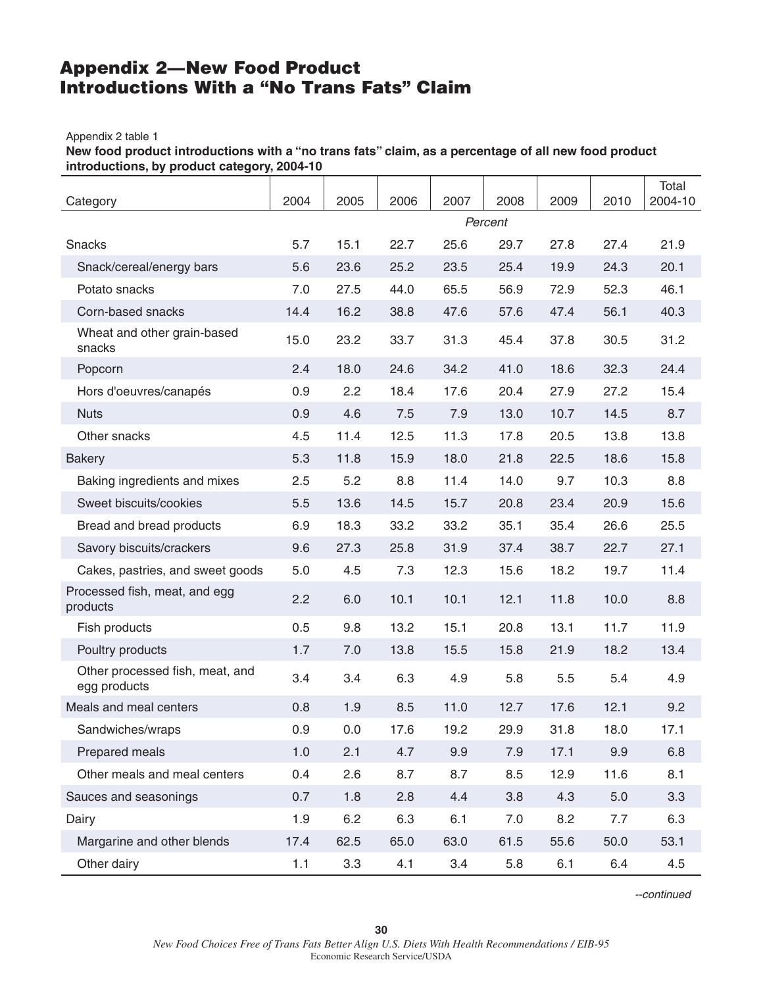# **Appendix 2—New Food Product Introductions With a "No Trans Fats" Claim**

#### Appendix 2 table 1

**New food product introductions with a "no trans fats" claim, as a percentage of all new food product introductions, by product category, 2004-10**

| Category                                        | 2004 | 2005 | 2006 | 2007 | 2008    | 2009 | 2010 | Total<br>2004-10 |
|-------------------------------------------------|------|------|------|------|---------|------|------|------------------|
|                                                 |      |      |      |      | Percent |      |      |                  |
| Snacks                                          | 5.7  | 15.1 | 22.7 | 25.6 | 29.7    | 27.8 | 27.4 | 21.9             |
| Snack/cereal/energy bars                        | 5.6  | 23.6 | 25.2 | 23.5 | 25.4    | 19.9 | 24.3 | 20.1             |
| Potato snacks                                   | 7.0  | 27.5 | 44.0 | 65.5 | 56.9    | 72.9 | 52.3 | 46.1             |
| Corn-based snacks                               | 14.4 | 16.2 | 38.8 | 47.6 | 57.6    | 47.4 | 56.1 | 40.3             |
| Wheat and other grain-based<br>snacks           | 15.0 | 23.2 | 33.7 | 31.3 | 45.4    | 37.8 | 30.5 | 31.2             |
| Popcorn                                         | 2.4  | 18.0 | 24.6 | 34.2 | 41.0    | 18.6 | 32.3 | 24.4             |
| Hors d'oeuvres/canapés                          | 0.9  | 2.2  | 18.4 | 17.6 | 20.4    | 27.9 | 27.2 | 15.4             |
| <b>Nuts</b>                                     | 0.9  | 4.6  | 7.5  | 7.9  | 13.0    | 10.7 | 14.5 | 8.7              |
| Other snacks                                    | 4.5  | 11.4 | 12.5 | 11.3 | 17.8    | 20.5 | 13.8 | 13.8             |
| <b>Bakery</b>                                   | 5.3  | 11.8 | 15.9 | 18.0 | 21.8    | 22.5 | 18.6 | 15.8             |
| Baking ingredients and mixes                    | 2.5  | 5.2  | 8.8  | 11.4 | 14.0    | 9.7  | 10.3 | 8.8              |
| Sweet biscuits/cookies                          | 5.5  | 13.6 | 14.5 | 15.7 | 20.8    | 23.4 | 20.9 | 15.6             |
| Bread and bread products                        | 6.9  | 18.3 | 33.2 | 33.2 | 35.1    | 35.4 | 26.6 | 25.5             |
| Savory biscuits/crackers                        | 9.6  | 27.3 | 25.8 | 31.9 | 37.4    | 38.7 | 22.7 | 27.1             |
| Cakes, pastries, and sweet goods                | 5.0  | 4.5  | 7.3  | 12.3 | 15.6    | 18.2 | 19.7 | 11.4             |
| Processed fish, meat, and egg<br>products       | 2.2  | 6.0  | 10.1 | 10.1 | 12.1    | 11.8 | 10.0 | 8.8              |
| Fish products                                   | 0.5  | 9.8  | 13.2 | 15.1 | 20.8    | 13.1 | 11.7 | 11.9             |
| Poultry products                                | 1.7  | 7.0  | 13.8 | 15.5 | 15.8    | 21.9 | 18.2 | 13.4             |
| Other processed fish, meat, and<br>egg products | 3.4  | 3.4  | 6.3  | 4.9  | 5.8     | 5.5  | 5.4  | 4.9              |
| Meals and meal centers                          | 0.8  | 1.9  | 8.5  | 11.0 | 12.7    | 17.6 | 12.1 | 9.2              |
| Sandwiches/wraps                                | 0.9  | 0.0  | 17.6 | 19.2 | 29.9    | 31.8 | 18.0 | 17.1             |
| Prepared meals                                  | 1.0  | 2.1  | 4.7  | 9.9  | 7.9     | 17.1 | 9.9  | 6.8              |
| Other meals and meal centers                    | 0.4  | 2.6  | 8.7  | 8.7  | 8.5     | 12.9 | 11.6 | 8.1              |
| Sauces and seasonings                           | 0.7  | 1.8  | 2.8  | 4.4  | 3.8     | 4.3  | 5.0  | 3.3              |
| Dairy                                           | 1.9  | 6.2  | 6.3  | 6.1  | 7.0     | 8.2  | 7.7  | 6.3              |
| Margarine and other blends                      | 17.4 | 62.5 | 65.0 | 63.0 | 61.5    | 55.6 | 50.0 | 53.1             |
| Other dairy                                     | 1.1  | 3.3  | 4.1  | 3.4  | 5.8     | 6.1  | 6.4  | 4.5              |

*--continued*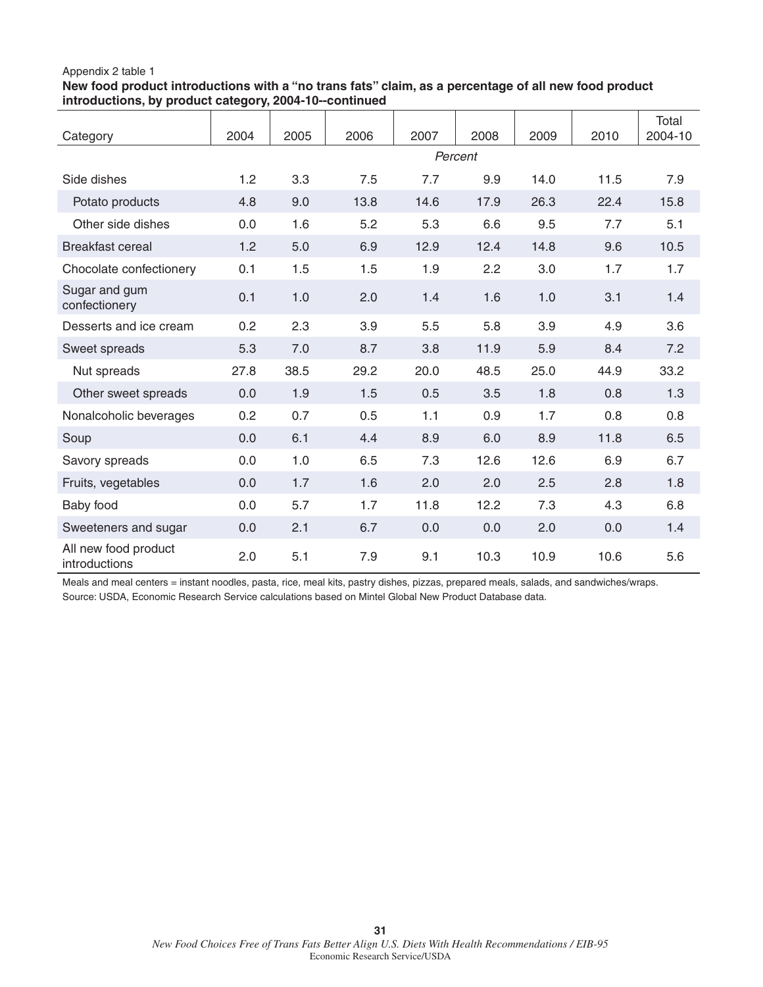### Appendix 2 table 1

**New food product introductions with a "no trans fats" claim, as a percentage of all new food product introductions, by product category, 2004-10--continued**

| Category                              | 2004 | 2005    | 2006 | 2007 | 2008 | 2009 | 2010 | <b>Total</b><br>2004-10 |  |  |
|---------------------------------------|------|---------|------|------|------|------|------|-------------------------|--|--|
|                                       |      | Percent |      |      |      |      |      |                         |  |  |
| Side dishes                           | 1.2  | 3.3     | 7.5  | 7.7  | 9.9  | 14.0 | 11.5 | 7.9                     |  |  |
| Potato products                       | 4.8  | 9.0     | 13.8 | 14.6 | 17.9 | 26.3 | 22.4 | 15.8                    |  |  |
| Other side dishes                     | 0.0  | 1.6     | 5.2  | 5.3  | 6.6  | 9.5  | 7.7  | 5.1                     |  |  |
| <b>Breakfast cereal</b>               | 1.2  | 5.0     | 6.9  | 12.9 | 12.4 | 14.8 | 9.6  | 10.5                    |  |  |
| Chocolate confectionery               | 0.1  | 1.5     | 1.5  | 1.9  | 2.2  | 3.0  | 1.7  | 1.7                     |  |  |
| Sugar and gum<br>confectionery        | 0.1  | 1.0     | 2.0  | 1.4  | 1.6  | 1.0  | 3.1  | 1.4                     |  |  |
| Desserts and ice cream                | 0.2  | 2.3     | 3.9  | 5.5  | 5.8  | 3.9  | 4.9  | 3.6                     |  |  |
| Sweet spreads                         | 5.3  | 7.0     | 8.7  | 3.8  | 11.9 | 5.9  | 8.4  | 7.2                     |  |  |
| Nut spreads                           | 27.8 | 38.5    | 29.2 | 20.0 | 48.5 | 25.0 | 44.9 | 33.2                    |  |  |
| Other sweet spreads                   | 0.0  | 1.9     | 1.5  | 0.5  | 3.5  | 1.8  | 0.8  | 1.3                     |  |  |
| Nonalcoholic beverages                | 0.2  | 0.7     | 0.5  | 1.1  | 0.9  | 1.7  | 0.8  | 0.8                     |  |  |
| Soup                                  | 0.0  | 6.1     | 4.4  | 8.9  | 6.0  | 8.9  | 11.8 | 6.5                     |  |  |
| Savory spreads                        | 0.0  | 1.0     | 6.5  | 7.3  | 12.6 | 12.6 | 6.9  | 6.7                     |  |  |
| Fruits, vegetables                    | 0.0  | 1.7     | 1.6  | 2.0  | 2.0  | 2.5  | 2.8  | 1.8                     |  |  |
| Baby food                             | 0.0  | 5.7     | 1.7  | 11.8 | 12.2 | 7.3  | 4.3  | 6.8                     |  |  |
| Sweeteners and sugar                  | 0.0  | 2.1     | 6.7  | 0.0  | 0.0  | 2.0  | 0.0  | 1.4                     |  |  |
| All new food product<br>introductions | 2.0  | 5.1     | 7.9  | 9.1  | 10.3 | 10.9 | 10.6 | 5.6                     |  |  |

Meals and meal centers = instant noodles, pasta, rice, meal kits, pastry dishes, pizzas, prepared meals, salads, and sandwiches/wraps. Source: USDA, Economic Research Service calculations based on Mintel Global New Product Database data.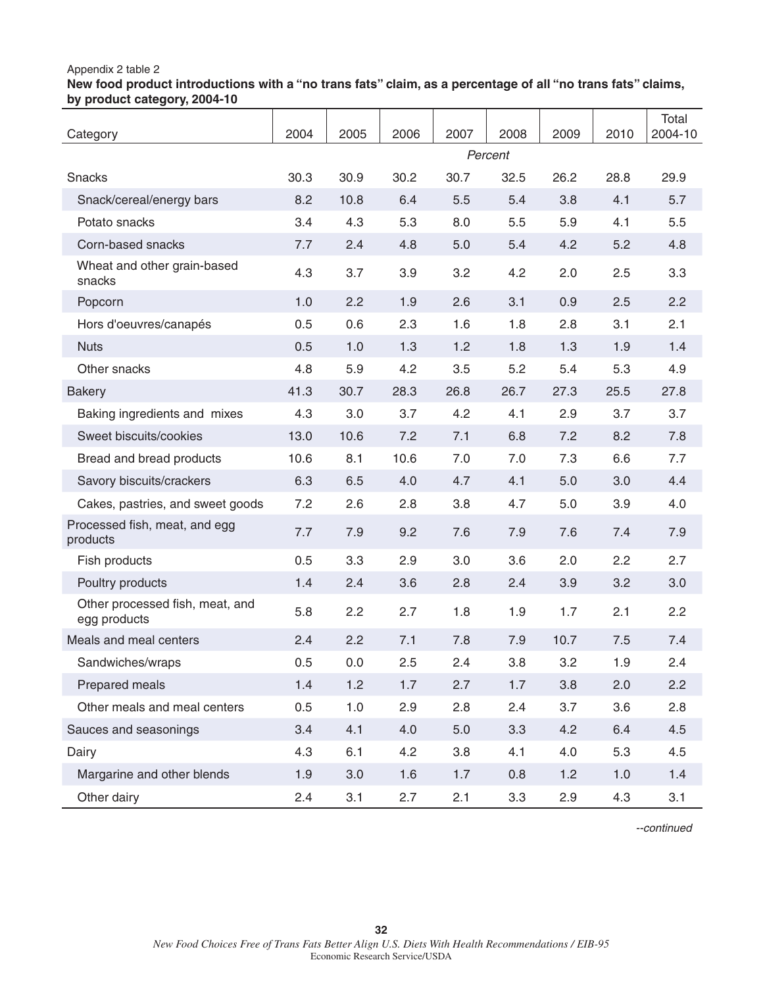### Appendix 2 table 2

**New food product introductions with a "no trans fats" claim, as a percentage of all "no trans fats" claims, by product category, 2004-10**

| Category                                        | 2004 | 2005 | 2006 | 2007 | 2008    | 2009 | 2010 | Total<br>2004-10 |
|-------------------------------------------------|------|------|------|------|---------|------|------|------------------|
|                                                 |      |      |      |      | Percent |      |      |                  |
| Snacks                                          | 30.3 | 30.9 | 30.2 | 30.7 | 32.5    | 26.2 | 28.8 | 29.9             |
| Snack/cereal/energy bars                        | 8.2  | 10.8 | 6.4  | 5.5  | 5.4     | 3.8  | 4.1  | 5.7              |
| Potato snacks                                   | 3.4  | 4.3  | 5.3  | 8.0  | 5.5     | 5.9  | 4.1  | 5.5              |
| Corn-based snacks                               | 7.7  | 2.4  | 4.8  | 5.0  | 5.4     | 4.2  | 5.2  | 4.8              |
| Wheat and other grain-based<br>snacks           | 4.3  | 3.7  | 3.9  | 3.2  | 4.2     | 2.0  | 2.5  | 3.3              |
| Popcorn                                         | 1.0  | 2.2  | 1.9  | 2.6  | 3.1     | 0.9  | 2.5  | 2.2              |
| Hors d'oeuvres/canapés                          | 0.5  | 0.6  | 2.3  | 1.6  | 1.8     | 2.8  | 3.1  | 2.1              |
| <b>Nuts</b>                                     | 0.5  | 1.0  | 1.3  | 1.2  | 1.8     | 1.3  | 1.9  | 1.4              |
| Other snacks                                    | 4.8  | 5.9  | 4.2  | 3.5  | 5.2     | 5.4  | 5.3  | 4.9              |
| <b>Bakery</b>                                   | 41.3 | 30.7 | 28.3 | 26.8 | 26.7    | 27.3 | 25.5 | 27.8             |
| Baking ingredients and mixes                    | 4.3  | 3.0  | 3.7  | 4.2  | 4.1     | 2.9  | 3.7  | 3.7              |
| Sweet biscuits/cookies                          | 13.0 | 10.6 | 7.2  | 7.1  | 6.8     | 7.2  | 8.2  | 7.8              |
| Bread and bread products                        | 10.6 | 8.1  | 10.6 | 7.0  | 7.0     | 7.3  | 6.6  | 7.7              |
| Savory biscuits/crackers                        | 6.3  | 6.5  | 4.0  | 4.7  | 4.1     | 5.0  | 3.0  | 4.4              |
| Cakes, pastries, and sweet goods                | 7.2  | 2.6  | 2.8  | 3.8  | 4.7     | 5.0  | 3.9  | 4.0              |
| Processed fish, meat, and egg<br>products       | 7.7  | 7.9  | 9.2  | 7.6  | 7.9     | 7.6  | 7.4  | 7.9              |
| Fish products                                   | 0.5  | 3.3  | 2.9  | 3.0  | 3.6     | 2.0  | 2.2  | 2.7              |
| Poultry products                                | 1.4  | 2.4  | 3.6  | 2.8  | 2.4     | 3.9  | 3.2  | 3.0              |
| Other processed fish, meat, and<br>egg products | 5.8  | 2.2  | 2.7  | 1.8  | 1.9     | 1.7  | 2.1  | 2.2              |
| Meals and meal centers                          | 2.4  | 2.2  | 7.1  | 7.8  | 7.9     | 10.7 | 7.5  | 7.4              |
| Sandwiches/wraps                                | 0.5  | 0.0  | 2.5  | 2.4  | 3.8     | 3.2  | 1.9  | 2.4              |
| Prepared meals                                  | 1.4  | 1.2  | 1.7  | 2.7  | 1.7     | 3.8  | 2.0  | 2.2              |
| Other meals and meal centers                    | 0.5  | 1.0  | 2.9  | 2.8  | 2.4     | 3.7  | 3.6  | 2.8              |
| Sauces and seasonings                           | 3.4  | 4.1  | 4.0  | 5.0  | 3.3     | 4.2  | 6.4  | 4.5              |
| Dairy                                           | 4.3  | 6.1  | 4.2  | 3.8  | 4.1     | 4.0  | 5.3  | 4.5              |
| Margarine and other blends                      | 1.9  | 3.0  | 1.6  | 1.7  | 0.8     | 1.2  | 1.0  | 1.4              |
| Other dairy                                     | 2.4  | 3.1  | 2.7  | 2.1  | 3.3     | 2.9  | 4.3  | 3.1              |

*--continued*